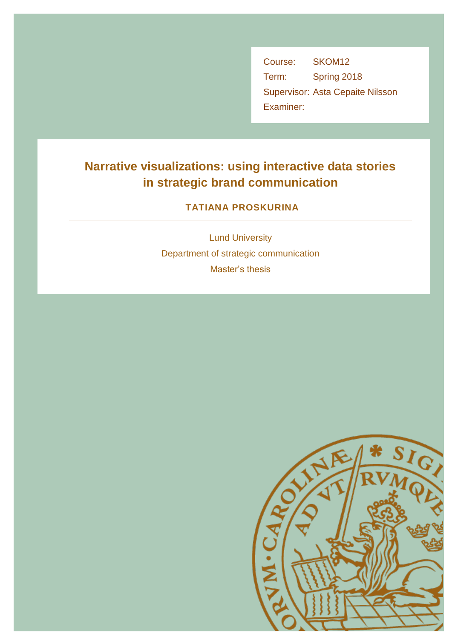Course: SKOM12 Term: Spring 2018 Supervisor: Asta Cepaite Nilsson Examiner:

# **Narrative visualizations: using interactive data stories in strategic brand communication**

# **TATIANA PROSKURINA**

Lund University Department of strategic communication Master's thesis

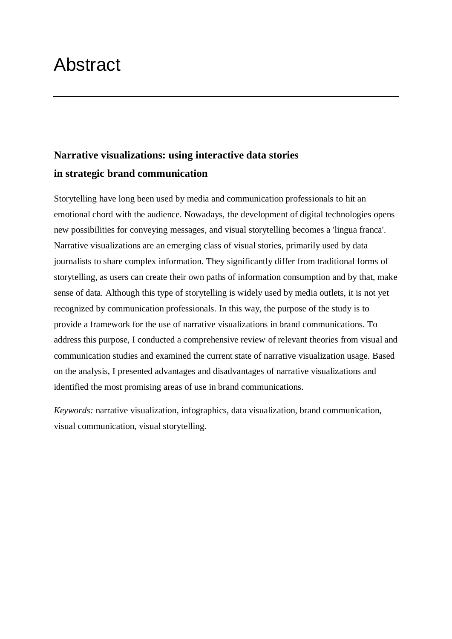# Abstract

# **Narrative visualizations: using interactive data stories in strategic brand communication**

Storytelling have long been used by media and communication professionals to hit an emotional chord with the audience. Nowadays, the development of digital technologies opens new possibilities for conveying messages, and visual storytelling becomes a 'lingua franca'. Narrative visualizations are an emerging class of visual stories, primarily used by data journalists to share complex information. They significantly differ from traditional forms of storytelling, as users can create their own paths of information consumption and by that, make sense of data. Although this type of storytelling is widely used by media outlets, it is not yet recognized by communication professionals. In this way, the purpose of the study is to provide a framework for the use of narrative visualizations in brand communications. To address this purpose, I conducted a comprehensive review of relevant theories from visual and communication studies and examined the current state of narrative visualization usage. Based on the analysis, I presented advantages and disadvantages of narrative visualizations and identified the most promising areas of use in brand communications.

*Keywords:* narrative visualization, infographics, data visualization, brand communication, visual communication, visual storytelling.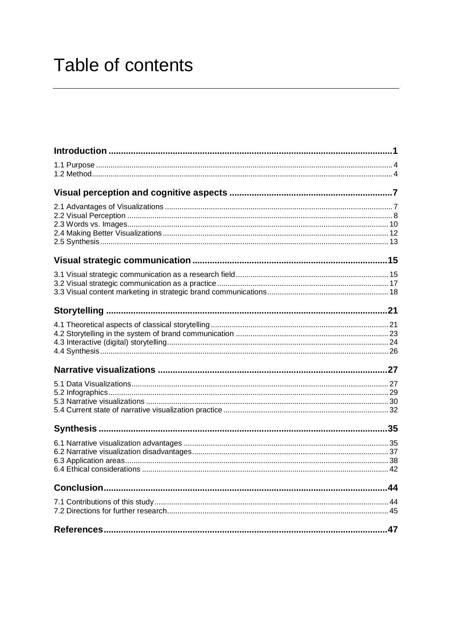# Table of contents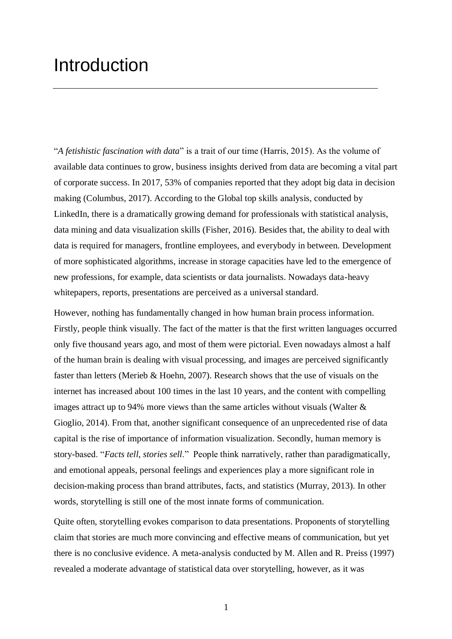# **Introduction**

"*A fetishistic fascination with data*" is a trait of our time (Harris, 2015). As the volume of available data continues to grow, business insights derived from data are becoming a vital part of corporate success. In 2017, 53% of companies reported that they adopt big data in decision making (Columbus, 2017). According to the Global top skills analysis, conducted by LinkedIn, there is a dramatically growing demand for professionals with statistical analysis, data mining and data visualization skills (Fisher, 2016). Besides that, the ability to deal with data is required for managers, frontline employees, and everybody in between. Development of more sophisticated algorithms, increase in storage capacities have led to the emergence of new professions, for example, data scientists or data journalists. Nowadays data-heavy whitepapers, reports, presentations are perceived as a universal standard.

However, nothing has fundamentally changed in how human brain process information. Firstly, people think visually. The fact of the matter is that the first written languages occurred only five thousand years ago, and most of them were pictorial. Even nowadays almost a half of the human brain is dealing with visual processing, and images are perceived significantly faster than letters (Merieb & Hoehn, 2007). Research shows that the use of visuals on the internet has increased about 100 times in the last 10 years, and the content with compelling images attract up to 94% more views than the same articles without visuals (Walter & Gioglio, 2014). From that, another significant consequence of an unprecedented rise of data capital is the rise of importance of information visualization. Secondly, human memory is story-based. "*Facts tell, stories sell*." People think narratively, rather than paradigmatically, and emotional appeals, personal feelings and experiences play a more significant role in decision-making process than brand attributes, facts, and statistics (Murray, 2013). In other words, storytelling is still one of the most innate forms of communication.

Quite often, storytelling evokes comparison to data presentations. Proponents of storytelling claim that stories are much more convincing and effective means of communication, but yet there is no conclusive evidence. A meta-analysis conducted by M. Allen and R. Preiss (1997) revealed a moderate advantage of statistical data over storytelling, however, as it was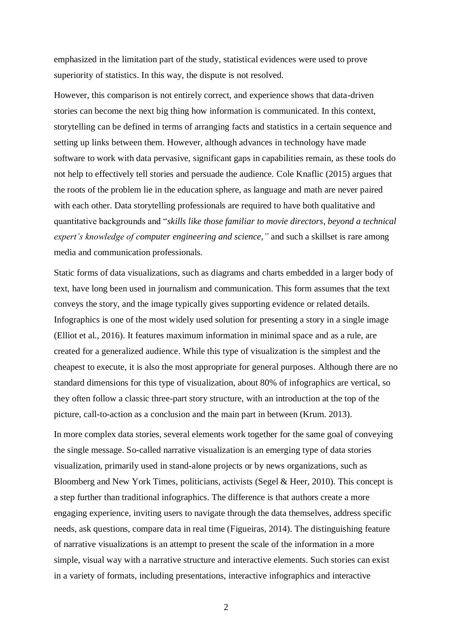emphasized in the limitation part of the study, statistical evidences were used to prove superiority of statistics. In this way, the dispute is not resolved.

However, this comparison is not entirely correct, and experience shows that data-driven stories can become the next big thing how information is communicated. In this context, storytelling can be defined in terms of arranging facts and statistics in a certain sequence and setting up links between them. However, although advances in technology have made software to work with data pervasive, significant gaps in capabilities remain, as these tools do not help to effectively tell stories and persuade the audience. Cole Knaflic (2015) argues that the roots of the problem lie in the education sphere, as language and math are never paired with each other. Data storytelling professionals are required to have both qualitative and quantitative backgrounds and "*skills like those familiar to movie directors, beyond a technical expert's knowledge of computer engineering and science,"* and such a skillset is rare among media and communication professionals.

Static forms of data visualizations, such as diagrams and charts embedded in a larger body of text, have long been used in journalism and communication. This form assumes that the text conveys the story, and the image typically gives supporting evidence or related details. Infographics is one of the most widely used solution for presenting a story in a single image (Elliot et al., 2016). It features maximum information in minimal space and as a rule, are created for a generalized audience. While this type of visualization is the simplest and the cheapest to execute, it is also the most appropriate for general purposes. Although there are no standard dimensions for this type of visualization, about 80% of infographics are vertical, so they often follow a classic three-part story structure, with an introduction at the top of the picture, call-to-action as a conclusion and the main part in between (Krum. 2013).

In more complex data stories, several elements work together for the same goal of conveying the single message. So-called narrative visualization is an emerging type of data stories visualization, primarily used in stand-alone projects or by news organizations, such as Bloomberg and New York Times, politicians, activists (Segel & Heer, 2010). This concept is a step further than traditional infographics. The difference is that authors create a more engaging experience, inviting users to navigate through the data themselves, address specific needs, ask questions, compare data in real time (Figueiras, 2014). The distinguishing feature of narrative visualizations is an attempt to present the scale of the information in a more simple, visual way with a narrative structure and interactive elements. Such stories can exist in a variety of formats, including presentations, interactive infographics and interactive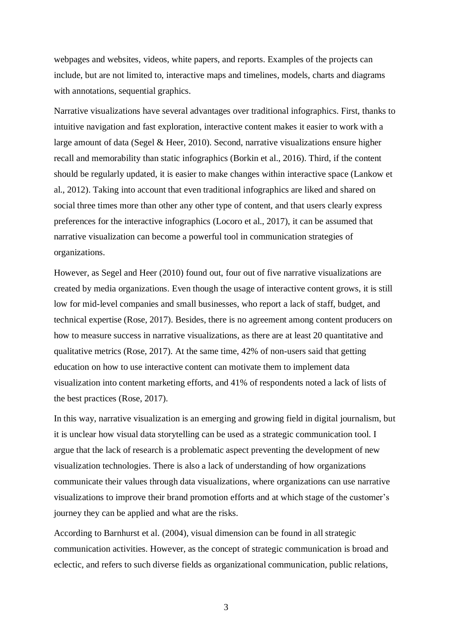webpages and websites, videos, white papers, and reports. Examples of the projects can include, but are not limited to, interactive maps and timelines, models, charts and diagrams with annotations, sequential graphics.

Narrative visualizations have several advantages over traditional infographics. First, thanks to intuitive navigation and fast exploration, interactive content makes it easier to work with a large amount of data (Segel & Heer, 2010). Second, narrative visualizations ensure higher recall and memorability than static infographics (Borkin et al., 2016). Third, if the content should be regularly updated, it is easier to make changes within interactive space (Lankow et al., 2012). Taking into account that even traditional infographics are liked and shared on social three times more than other any other type of content, and that users clearly express preferences for the interactive infographics (Locoro et al., 2017), it can be assumed that narrative visualization can become a powerful tool in communication strategies of organizations.

However, as Segel and Heer (2010) found out, four out of five narrative visualizations are created by media organizations. Even though the usage of interactive content grows, it is still low for mid-level companies and small businesses, who report a lack of staff, budget, and technical expertise (Rose, 2017). Besides, there is no agreement among content producers on how to measure success in narrative visualizations, as there are at least 20 quantitative and qualitative metrics (Rose, 2017). At the same time, 42% of non-users said that getting education on how to use interactive content can motivate them to implement data visualization into content marketing efforts, and 41% of respondents noted a lack of lists of the best practices (Rose, 2017).

In this way, narrative visualization is an emerging and growing field in digital journalism, but it is unclear how visual data storytelling can be used as a strategic communication tool. I argue that the lack of research is a problematic aspect preventing the development of new visualization technologies. There is also a lack of understanding of how organizations communicate their values through data visualizations, where organizations can use narrative visualizations to improve their brand promotion efforts and at which stage of the customer's journey they can be applied and what are the risks.

According to Barnhurst et al. (2004), visual dimension can be found in all strategic communication activities. However, as the concept of strategic communication is broad and eclectic, and refers to such diverse fields as organizational communication, public relations,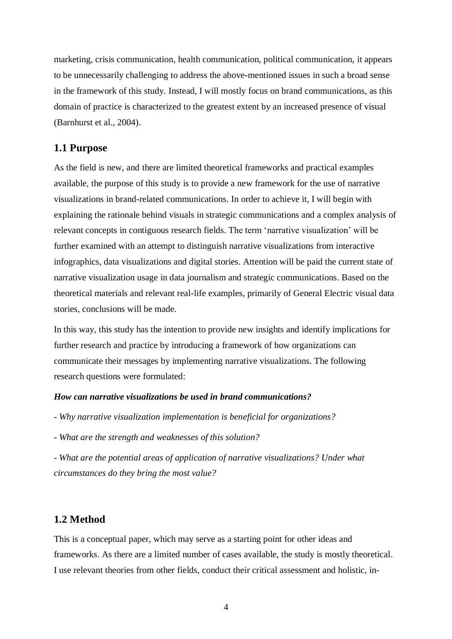marketing, crisis communication, health communication, political communication, it appears to be unnecessarily challenging to address the above-mentioned issues in such a broad sense in the framework of this study. Instead, I will mostly focus on brand communications, as this domain of practice is characterized to the greatest extent by an increased presence of visual (Barnhurst et al., 2004).

### **1.1 Purpose**

As the field is new, and there are limited theoretical frameworks and practical examples available, the purpose of this study is to provide a new framework for the use of narrative visualizations in brand-related communications. In order to achieve it, I will begin with explaining the rationale behind visuals in strategic communications and a complex analysis of relevant concepts in contiguous research fields. The term 'narrative visualization' will be further examined with an attempt to distinguish narrative visualizations from interactive infographics, data visualizations and digital stories. Attention will be paid the current state of narrative visualization usage in data journalism and strategic communications. Based on the theoretical materials and relevant real-life examples, primarily of General Electric visual data stories, conclusions will be made.

In this way, this study has the intention to provide new insights and identify implications for further research and practice by introducing a framework of how organizations can communicate their messages by implementing narrative visualizations. The following research questions were formulated:

#### *How can narrative visualizations be used in brand communications?*

- *- Why narrative visualization implementation is beneficial for organizations?*
- *- What are the strength and weaknesses of this solution?*

*- What are the potential areas of application of narrative visualizations? Under what circumstances do they bring the most value?*

### **1.2 Method**

This is a conceptual paper, which may serve as a starting point for other ideas and frameworks. As there are a limited number of cases available, the study is mostly theoretical. I use relevant theories from other fields, conduct their critical assessment and holistic, in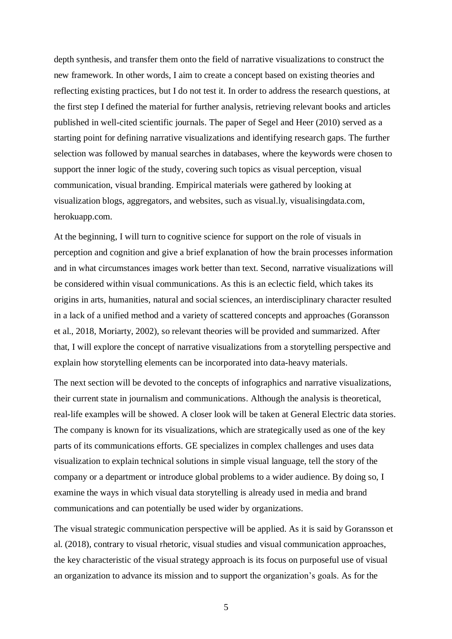depth synthesis, and transfer them onto the field of narrative visualizations to construct the new framework. In other words, I aim to create a concept based on existing theories and reflecting existing practices, but I do not test it. In order to address the research questions, at the first step I defined the material for further analysis, retrieving relevant books and articles published in well-cited scientific journals. The paper of Segel and Heer (2010) served as a starting point for defining narrative visualizations and identifying research gaps. The further selection was followed by manual searches in databases, where the keywords were chosen to support the inner logic of the study, covering such topics as visual perception, visual communication, visual branding. Empirical materials were gathered by looking at visualization blogs, aggregators, and websites, such as visual.ly, visualisingdata.com, herokuapp.com.

At the beginning, I will turn to cognitive science for support on the role of visuals in perception and cognition and give a brief explanation of how the brain processes information and in what circumstances images work better than text. Second, narrative visualizations will be considered within visual communications. As this is an eclectic field, which takes its origins in arts, humanities, natural and social sciences, an interdisciplinary character resulted in a lack of a unified method and a variety of scattered concepts and approaches (Goransson et al., 2018, Moriarty, 2002), so relevant theories will be provided and summarized. After that, I will explore the concept of narrative visualizations from a storytelling perspective and explain how storytelling elements can be incorporated into data-heavy materials.

The next section will be devoted to the concepts of infographics and narrative visualizations, their current state in journalism and communications. Although the analysis is theoretical, real-life examples will be showed. A closer look will be taken at General Electric data stories. The company is known for its visualizations, which are strategically used as one of the key parts of its communications efforts. GE specializes in complex challenges and uses data visualization to explain technical solutions in simple visual language, tell the story of the company or a department or introduce global problems to a wider audience. By doing so, I examine the ways in which visual data storytelling is already used in media and brand communications and can potentially be used wider by organizations.

The visual strategic communication perspective will be applied. As it is said by Goransson et al. (2018), contrary to visual rhetoric, visual studies and visual communication approaches, the key characteristic of the visual strategy approach is its focus on purposeful use of visual an organization to advance its mission and to support the organization's goals. As for the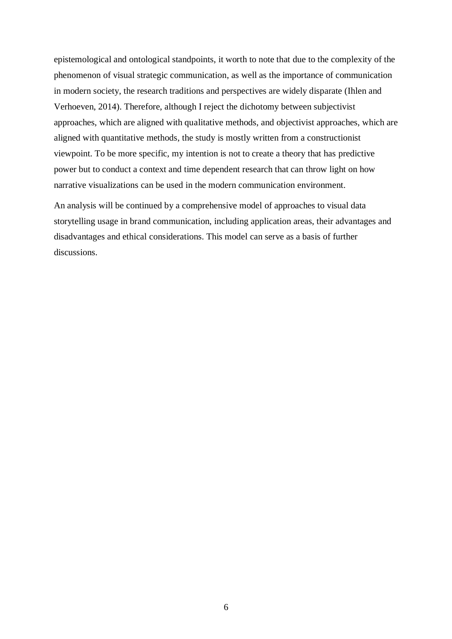epistemological and ontological standpoints, it worth to note that due to the complexity of the phenomenon of visual strategic communication, as well as the importance of communication in modern society, the research traditions and perspectives are widely disparate (Ihlen and Verhoeven, 2014). Therefore, although I reject the dichotomy between subjectivist approaches, which are aligned with qualitative methods, and objectivist approaches, which are aligned with quantitative methods, the study is mostly written from a constructionist viewpoint. To be more specific, my intention is not to create a theory that has predictive power but to conduct a context and time dependent research that can throw light on how narrative visualizations can be used in the modern communication environment.

An analysis will be continued by a comprehensive model of approaches to visual data storytelling usage in brand communication, including application areas, their advantages and disadvantages and ethical considerations. This model can serve as a basis of further discussions.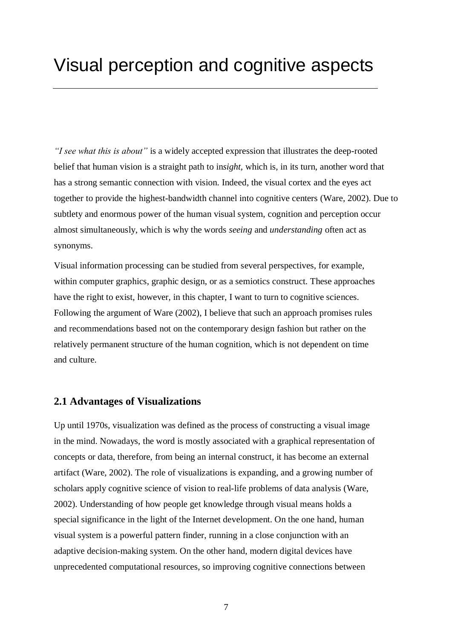*"I see what this is about"* is a widely accepted expression that illustrates the deep-rooted belief that human vision is a straight path to in*sight,* which is, in its turn, another word that has a strong semantic connection with vision. Indeed, the visual cortex and the eyes act together to provide the highest-bandwidth channel into cognitive centers (Ware, 2002). Due to subtlety and enormous power of the human visual system, cognition and perception occur almost simultaneously, which is why the words *seeing* and *understanding* often act as synonyms.

Visual information processing can be studied from several perspectives, for example, within computer graphics, graphic design, or as a semiotics construct. These approaches have the right to exist, however, in this chapter, I want to turn to cognitive sciences. Following the argument of Ware (2002), I believe that such an approach promises rules and recommendations based not on the contemporary design fashion but rather on the relatively permanent structure of the human cognition, which is not dependent on time and culture.

### **2.1 Advantages of Visualizations**

Up until 1970s, visualization was defined as the process of constructing a visual image in the mind. Nowadays, the word is mostly associated with a graphical representation of concepts or data, therefore, from being an internal construct, it has become an external artifact (Ware, 2002). The role of visualizations is expanding, and a growing number of scholars apply cognitive science of vision to real-life problems of data analysis (Ware, 2002). Understanding of how people get knowledge through visual means holds a special significance in the light of the Internet development. On the one hand, human visual system is a powerful pattern finder, running in a close conjunction with an adaptive decision-making system. On the other hand, modern digital devices have unprecedented computational resources, so improving cognitive connections between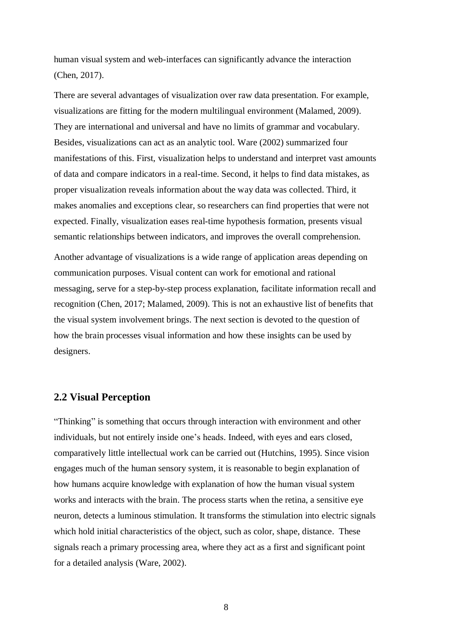human visual system and web-interfaces can significantly advance the interaction (Chen, 2017).

There are several advantages of visualization over raw data presentation. For example, visualizations are fitting for the modern multilingual environment (Malamed, 2009). They are international and universal and have no limits of grammar and vocabulary. Besides, visualizations can act as an analytic tool. Ware (2002) summarized four manifestations of this. First, visualization helps to understand and interpret vast amounts of data and compare indicators in a real-time. Second, it helps to find data mistakes, as proper visualization reveals information about the way data was collected. Third, it makes anomalies and exceptions clear, so researchers can find properties that were not expected. Finally, visualization eases real-time hypothesis formation, presents visual semantic relationships between indicators, and improves the overall comprehension.

Another advantage of visualizations is a wide range of application areas depending on communication purposes. Visual content can work for emotional and rational messaging, serve for a step-by-step process explanation, facilitate information recall and recognition (Chen, 2017; Malamed, 2009). This is not an exhaustive list of benefits that the visual system involvement brings. The next section is devoted to the question of how the brain processes visual information and how these insights can be used by designers.

### **2.2 Visual Perception**

"Thinking" is something that occurs through interaction with environment and other individuals, but not entirely inside one's heads. Indeed, with eyes and ears closed, comparatively little intellectual work can be carried out (Hutchins, 1995). Since vision engages much of the human sensory system, it is reasonable to begin explanation of how humans acquire knowledge with explanation of how the human visual system works and interacts with the brain. The process starts when the retina, a sensitive eye neuron, detects a luminous stimulation. It transforms the stimulation into electric signals which hold initial characteristics of the object, such as color, shape, distance. These signals reach a primary processing area, where they act as a first and significant point for a detailed analysis (Ware, 2002).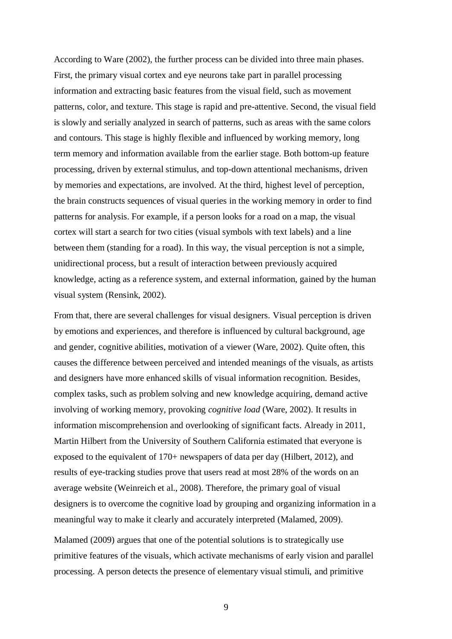According to Ware (2002), the further process can be divided into three main phases. First, the primary visual cortex and eye neurons take part in parallel processing information and extracting basic features from the visual field, such as movement patterns, color, and texture. This stage is rapid and pre-attentive. Second, the visual field is slowly and serially analyzed in search of patterns, such as areas with the same colors and contours. This stage is highly flexible and influenced by working memory, long term memory and information available from the earlier stage. Both bottom-up feature processing, driven by external stimulus, and top-down attentional mechanisms, driven by memories and expectations, are involved. At the third, highest level of perception, the brain constructs sequences of visual queries in the working memory in order to find patterns for analysis. For example, if a person looks for a road on a map, the visual cortex will start a search for two cities (visual symbols with text labels) and a line between them (standing for a road). In this way, the visual perception is not a simple, unidirectional process, but a result of interaction between previously acquired knowledge, acting as a reference system, and external information, gained by the human visual system (Rensink, 2002).

From that, there are several challenges for visual designers. Visual perception is driven by emotions and experiences, and therefore is influenced by cultural background, age and gender, cognitive abilities, motivation of a viewer (Ware, 2002). Quite often, this causes the difference between perceived and intended meanings of the visuals, as artists and designers have more enhanced skills of visual information recognition. Besides, complex tasks, such as problem solving and new knowledge acquiring, demand active involving of working memory, provoking *cognitive load* (Ware, 2002). It results in information miscomprehension and overlooking of significant facts. Already in 2011, Martin Hilbert from the University of Southern California estimated that everyone is exposed to the equivalent of 170+ newspapers of data per day (Hilbert, 2012), and results of eye-tracking studies prove that users read at most 28% of the words on an average website (Weinreich et al., 2008). Therefore, the primary goal of visual designers is to overcome the cognitive load by grouping and organizing information in a meaningful way to make it clearly and accurately interpreted (Malamed, 2009).

Malamed (2009) argues that one of the potential solutions is to strategically use primitive features of the visuals, which activate mechanisms of early vision and parallel processing. A person detects the presence of elementary visual stimuli, and primitive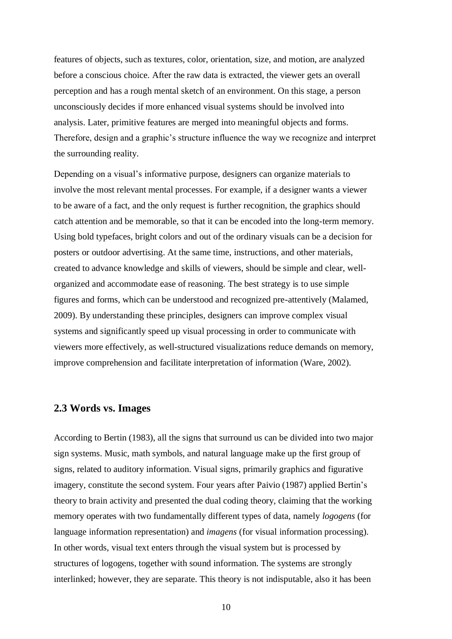features of objects, such as textures, color, orientation, size, and motion, are analyzed before a conscious choice. After the raw data is extracted, the viewer gets an overall perception and has a rough mental sketch of an environment. On this stage, a person unconsciously decides if more enhanced visual systems should be involved into analysis. Later, primitive features are merged into meaningful objects and forms. Therefore, design and a graphic's structure influence the way we recognize and interpret the surrounding reality.

Depending on a visual's informative purpose, designers can organize materials to involve the most relevant mental processes. For example, if a designer wants a viewer to be aware of a fact, and the only request is further recognition, the graphics should catch attention and be memorable, so that it can be encoded into the long-term memory. Using bold typefaces, bright colors and out of the ordinary visuals can be a decision for posters or outdoor advertising. At the same time, instructions, and other materials, created to advance knowledge and skills of viewers, should be simple and clear, wellorganized and accommodate ease of reasoning. The best strategy is to use simple figures and forms, which can be understood and recognized pre-attentively (Malamed, 2009). By understanding these principles, designers can improve complex visual systems and significantly speed up visual processing in order to communicate with viewers more effectively, as well-structured visualizations reduce demands on memory, improve comprehension and facilitate interpretation of information (Ware, 2002).

#### **2.3 Words vs. Images**

According to Bertin (1983), all the signs that surround us can be divided into two major sign systems. Music, math symbols, and natural language make up the first group of signs, related to auditory information. Visual signs, primarily graphics and figurative imagery, constitute the second system. Four years after Paivio (1987) applied Bertin's theory to brain activity and presented the dual coding theory, claiming that the working memory operates with two fundamentally different types of data, namely *logogens* (for language information representation) and *imagens* (for visual information processing). In other words, visual text enters through the visual system but is processed by structures of logogens, together with sound information. The systems are strongly interlinked; however, they are separate. This theory is not indisputable, also it has been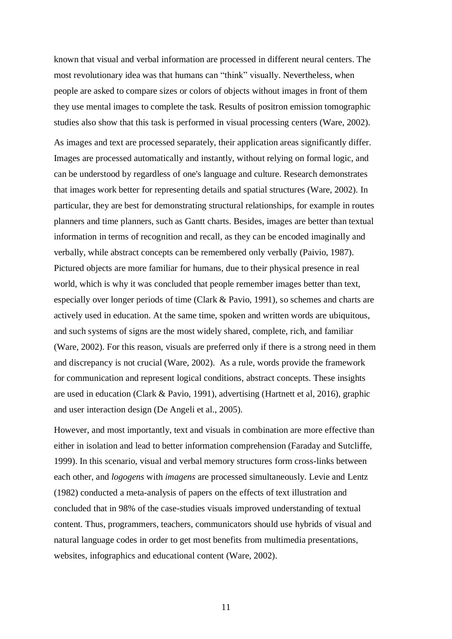known that visual and verbal information are processed in different neural centers. The most revolutionary idea was that humans can "think" visually. Nevertheless, when people are asked to compare sizes or colors of objects without images in front of them they use mental images to complete the task. Results of positron emission tomographic studies also show that this task is performed in visual processing centers (Ware, 2002).

As images and text are processed separately, their application areas significantly differ. Images are processed automatically and instantly, without relying on formal logic, and can be understood by regardless of one's language and culture. Research demonstrates that images work better for representing details and spatial structures (Ware, 2002). In particular, they are best for demonstrating structural relationships, for example in routes planners and time planners, such as Gantt charts. Besides, images are better than textual information in terms of recognition and recall, as they can be encoded imaginally and verbally, while abstract concepts can be remembered only verbally (Paivio, 1987). Pictured objects are more familiar for humans, due to their physical presence in real world, which is why it was concluded that people remember images better than text, especially over longer periods of time (Clark & Pavio, 1991), so schemes and charts are actively used in education. At the same time, spoken and written words are ubiquitous, and such systems of signs are the most widely shared, complete, rich, and familiar (Ware, 2002). For this reason, visuals are preferred only if there is a strong need in them and discrepancy is not crucial (Ware, 2002). As a rule, words provide the framework for communication and represent logical conditions, abstract concepts. These insights are used in education (Clark & Pavio, 1991), advertising (Hartnett et al, 2016), graphic and user interaction design (De Angeli et al., 2005).

However, and most importantly, text and visuals in combination are more effective than either in isolation and lead to better information comprehension (Faraday and Sutcliffe, 1999). In this scenario, visual and verbal memory structures form cross-links between each other, and *logogens* with *imagens* are processed simultaneously. Levie and Lentz (1982) conducted a meta-analysis of papers on the effects of text illustration and concluded that in 98% of the case-studies visuals improved understanding of textual content. Thus, programmers, teachers, communicators should use hybrids of visual and natural language codes in order to get most benefits from multimedia presentations, websites, infographics and educational content (Ware, 2002).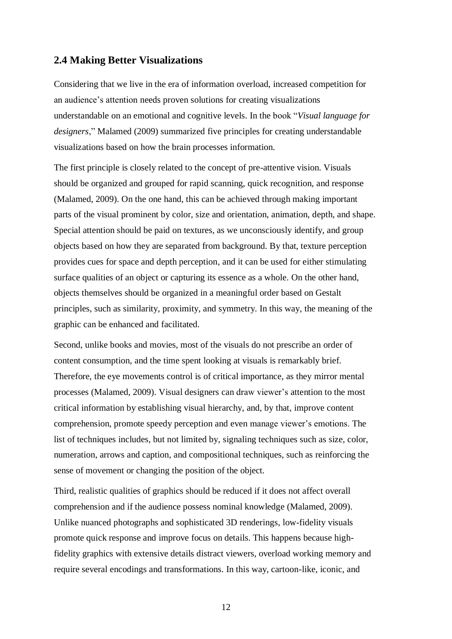#### **2.4 Making Better Visualizations**

Considering that we live in the era of information overload, increased competition for an audience's attention needs proven solutions for creating visualizations understandable on an emotional and cognitive levels. In the book "*Visual language for designers*," Malamed (2009) summarized five principles for creating understandable visualizations based on how the brain processes information.

The first principle is closely related to the concept of pre-attentive vision. Visuals should be organized and grouped for rapid scanning, quick recognition, and response (Malamed, 2009). On the one hand, this can be achieved through making important parts of the visual prominent by color, size and orientation, animation, depth, and shape. Special attention should be paid on textures, as we unconsciously identify, and group objects based on how they are separated from background. By that, texture perception provides cues for space and depth perception, and it can be used for either stimulating surface qualities of an object or capturing its essence as a whole. On the other hand, objects themselves should be organized in a meaningful order based on Gestalt principles, such as similarity, proximity, and symmetry. In this way, the meaning of the graphic can be enhanced and facilitated.

Second, unlike books and movies, most of the visuals do not prescribe an order of content consumption, and the time spent looking at visuals is remarkably brief. Therefore, the eye movements control is of critical importance, as they mirror mental processes (Malamed, 2009). Visual designers can draw viewer's attention to the most critical information by establishing visual hierarchy, and, by that, improve content comprehension, promote speedy perception and even manage viewer's emotions. The list of techniques includes, but not limited by, signaling techniques such as size, color, numeration, arrows and caption, and compositional techniques, such as reinforcing the sense of movement or changing the position of the object.

Third, realistic qualities of graphics should be reduced if it does not affect overall comprehension and if the audience possess nominal knowledge (Malamed, 2009). Unlike nuanced photographs and sophisticated 3D renderings, low-fidelity visuals promote quick response and improve focus on details. This happens because highfidelity graphics with extensive details distract viewers, overload working memory and require several encodings and transformations. In this way, cartoon-like, iconic, and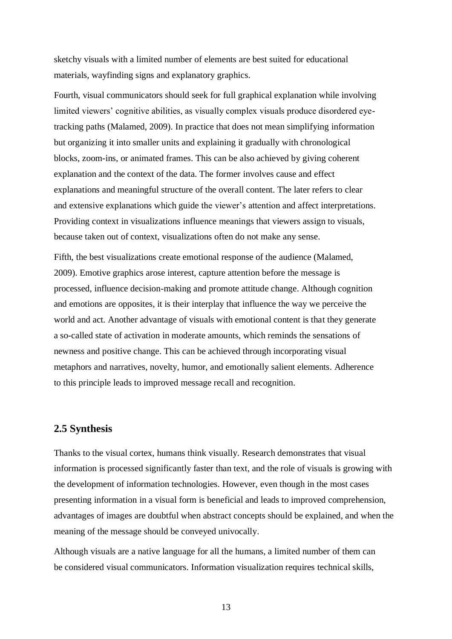sketchy visuals with a limited number of elements are best suited for educational materials, wayfinding signs and explanatory graphics.

Fourth, visual communicators should seek for full graphical explanation while involving limited viewers' cognitive abilities, as visually complex visuals produce disordered eyetracking paths (Malamed, 2009). In practice that does not mean simplifying information but organizing it into smaller units and explaining it gradually with chronological blocks, zoom-ins, or animated frames. This can be also achieved by giving coherent explanation and the context of the data. The former involves cause and effect explanations and meaningful structure of the overall content. The later refers to clear and extensive explanations which guide the viewer's attention and affect interpretations. Providing context in visualizations influence meanings that viewers assign to visuals, because taken out of context, visualizations often do not make any sense.

Fifth, the best visualizations create emotional response of the audience (Malamed, 2009). Emotive graphics arose interest, capture attention before the message is processed, influence decision-making and promote attitude change. Although cognition and emotions are opposites, it is their interplay that influence the way we perceive the world and act. Another advantage of visuals with emotional content is that they generate a so-called state of activation in moderate amounts, which reminds the sensations of newness and positive change. This can be achieved through incorporating visual metaphors and narratives, novelty, humor, and emotionally salient elements. Adherence to this principle leads to improved message recall and recognition.

#### **2.5 Synthesis**

Thanks to the visual cortex, humans think visually. Research demonstrates that visual information is processed significantly faster than text, and the role of visuals is growing with the development of information technologies. However, even though in the most cases presenting information in a visual form is beneficial and leads to improved comprehension, advantages of images are doubtful when abstract concepts should be explained, and when the meaning of the message should be conveyed univocally.

Although visuals are a native language for all the humans, a limited number of them can be considered visual communicators. Information visualization requires technical skills,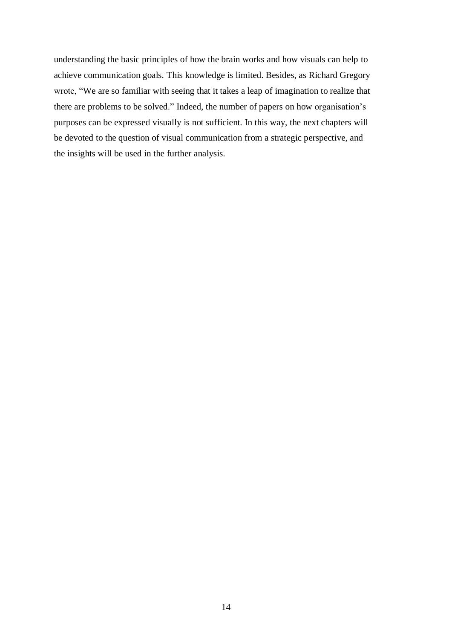understanding the basic principles of how the brain works and how visuals can help to achieve communication goals. This knowledge is limited. Besides, as Richard Gregory wrote, "We are so familiar with seeing that it takes a leap of imagination to realize that there are problems to be solved." Indeed, the number of papers on how organisation's purposes can be expressed visually is not sufficient. In this way, the next chapters will be devoted to the question of visual communication from a strategic perspective, and the insights will be used in the further analysis.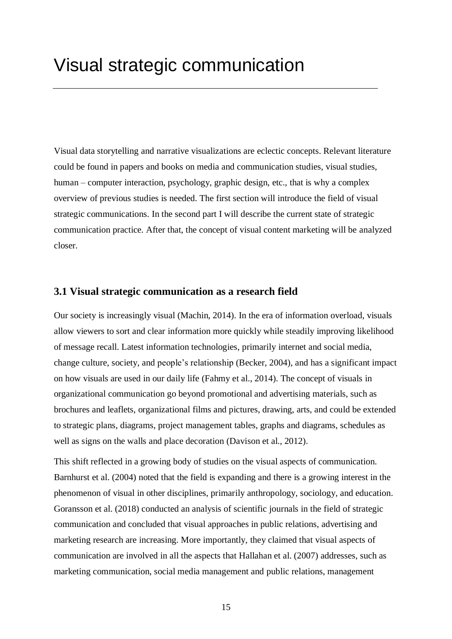Visual data storytelling and narrative visualizations are eclectic concepts. Relevant literature could be found in papers and books on media and communication studies, visual studies, human – computer interaction, psychology, graphic design, etc., that is why a complex overview of previous studies is needed. The first section will introduce the field of visual strategic communications. In the second part I will describe the current state of strategic communication practice. After that, the concept of visual content marketing will be analyzed closer.

## **3.1 Visual strategic communication as a research field**

Our society is increasingly visual (Machin, 2014). In the era of information overload, visuals allow viewers to sort and clear information more quickly while steadily improving likelihood of message recall. Latest information technologies, primarily internet and social media, change culture, society, and people's relationship (Becker, 2004), and has a significant impact on how visuals are used in our daily life (Fahmy et al., 2014). The concept of visuals in organizational communication go beyond promotional and advertising materials, such as brochures and leaflets, organizational films and pictures, drawing, arts, and could be extended to strategic plans, diagrams, project management tables, graphs and diagrams, schedules as well as signs on the walls and place decoration (Davison et al., 2012).

This shift reflected in a growing body of studies on the visual aspects of communication. Barnhurst et al. (2004) noted that the field is expanding and there is a growing interest in the phenomenon of visual in other disciplines, primarily anthropology, sociology, and education. Goransson et al. (2018) conducted an analysis of scientific journals in the field of strategic communication and concluded that visual approaches in public relations, advertising and marketing research are increasing. More importantly, they claimed that visual aspects of communication are involved in all the aspects that Hallahan et al. (2007) addresses, such as marketing communication, social media management and public relations, management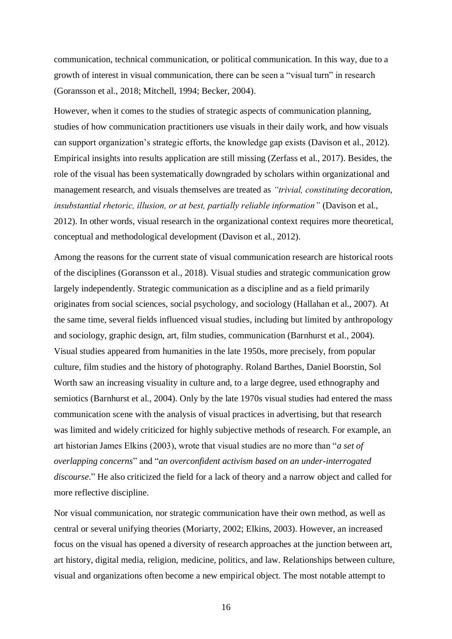communication, technical communication, or political communication. In this way, due to a growth of interest in visual communication, there can be seen a "visual turn" in research (Goransson et al., 2018; Mitchell, 1994; Becker, 2004).

However, when it comes to the studies of strategic aspects of communication planning, studies of how communication practitioners use visuals in their daily work, and how visuals can support organization's strategic efforts, the knowledge gap exists (Davison et al., 2012). Empirical insights into results application are still missing (Zerfass et al., 2017). Besides, the role of the visual has been systematically downgraded by scholars within organizational and management research, and visuals themselves are treated as *"trivial, constituting decoration, insubstantial rhetoric, illusion, or at best, partially reliable information"* (Davison et al., 2012). In other words, visual research in the organizational context requires more theoretical, conceptual and methodological development (Davison et al., 2012).

Among the reasons for the current state of visual communication research are historical roots of the disciplines (Goransson et al., 2018). Visual studies and strategic communication grow largely independently. Strategic communication as a discipline and as a field primarily originates from social sciences, social psychology, and sociology (Hallahan et al., 2007). At the same time, several fields influenced visual studies, including but limited by anthropology and sociology, graphic design, art, film studies, communication (Barnhurst et al., 2004). Visual studies appeared from humanities in the late 1950s, more precisely, from popular culture, film studies and the history of photography. Roland Barthes, Daniel Boorstin, Sol Worth saw an increasing visuality in culture and, to a large degree, used ethnography and semiotics (Barnhurst et al., 2004). Only by the late 1970s visual studies had entered the mass communication scene with the analysis of visual practices in advertising, but that research was limited and widely criticized for highly subjective methods of research. For example, an art historian James Elkins (2003), wrote that visual studies are no more than "*a set of overlapping concerns*" and "*an overconfident activism based on an under-interrogated discourse*." He also criticized the field for a lack of theory and a narrow object and called for more reflective discipline.

Nor visual communication, nor strategic communication have their own method, as well as central or several unifying theories (Moriarty, 2002; Elkins, 2003). However, an increased focus on the visual has opened a diversity of research approaches at the junction between art, art history, digital media, religion, medicine, politics, and law. Relationships between culture, visual and organizations often become a new empirical object. The most notable attempt to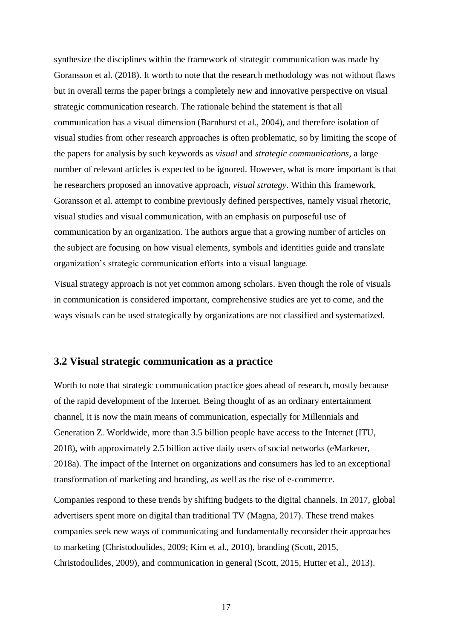synthesize the disciplines within the framework of strategic communication was made by Goransson et al. (2018). It worth to note that the research methodology was not without flaws but in overall terms the paper brings a completely new and innovative perspective on visual strategic communication research. The rationale behind the statement is that all communication has a visual dimension (Barnhurst et al., 2004), and therefore isolation of visual studies from other research approaches is often problematic, so by limiting the scope of the papers for analysis by such keywords as *visual* and *strategic communications,* a large number of relevant articles is expected to be ignored. However, what is more important is that he researchers proposed an innovative approach, *visual strategy*. Within this framework, Goransson et al. attempt to combine previously defined perspectives, namely visual rhetoric, visual studies and visual communication, with an emphasis on purposeful use of communication by an organization. The authors argue that a growing number of articles on the subject are focusing on how visual elements, symbols and identities guide and translate organization's strategic communication efforts into a visual language.

Visual strategy approach is not yet common among scholars. Even though the role of visuals in communication is considered important, comprehensive studies are yet to come, and the ways visuals can be used strategically by organizations are not classified and systematized.

### **3.2 Visual strategic communication as a practice**

Worth to note that strategic communication practice goes ahead of research, mostly because of the rapid development of the Internet. Being thought of as an ordinary entertainment channel, it is now the main means of communication, especially for Millennials and Generation Z. Worldwide, more than 3.5 billion people have access to the Internet (ITU, 2018), with approximately 2.5 billion active daily users of social networks (eMarketer, 2018a). The impact of the Internet on organizations and consumers has led to an exceptional transformation of marketing and branding, as well as the rise of e-commerce.

Companies respond to these trends by shifting budgets to the digital channels. In 2017, global advertisers spent more on digital than traditional TV (Magna, 2017). These trend makes companies seek new ways of communicating and fundamentally reconsider their approaches to marketing (Christodoulides, 2009; Kim et al., 2010), branding (Scott, 2015, Christodoulides, 2009), and communication in general (Scott, 2015, Hutter et al., 2013).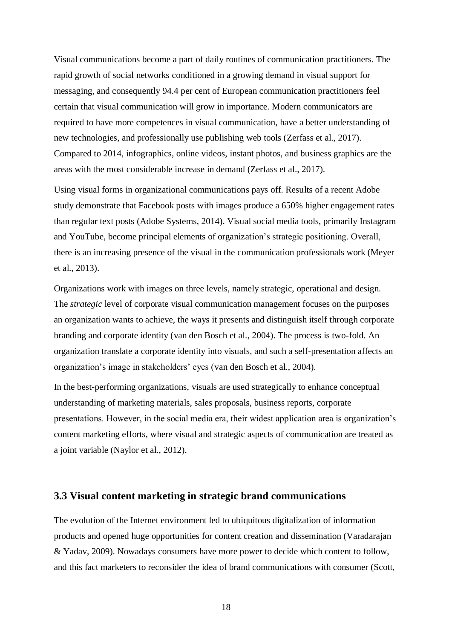Visual communications become a part of daily routines of communication practitioners. The rapid growth of social networks conditioned in a growing demand in visual support for messaging, and consequently 94.4 per cent of European communication practitioners feel certain that visual communication will grow in importance. Modern communicators are required to have more competences in visual communication, have a better understanding of new technologies, and professionally use publishing web tools (Zerfass et al., 2017). Compared to 2014, infographics, online videos, instant photos, and business graphics are the areas with the most considerable increase in demand (Zerfass et al., 2017).

Using visual forms in organizational communications pays off. Results of a recent Adobe study demonstrate that Facebook posts with images produce a 650% higher engagement rates than regular text posts (Adobe Systems, 2014). Visual social media tools, primarily Instagram and YouTube, become principal elements of organization's strategic positioning. Overall, there is an increasing presence of the visual in the communication professionals work (Meyer et al., 2013).

Organizations work with images on three levels, namely strategic, operational and design. The *strategic* level of corporate visual communication management focuses on the purposes an organization wants to achieve, the ways it presents and distinguish itself through corporate branding and corporate identity (van den Bosch et al., 2004). The process is two-fold. An organization translate a corporate identity into visuals, and such a self-presentation affects an organization's image in stakeholders' eyes (van den Bosch et al., 2004).

In the best-performing organizations, visuals are used strategically to enhance conceptual understanding of marketing materials, sales proposals, business reports, corporate presentations. However, in the social media era, their widest application area is organization's content marketing efforts, where visual and strategic aspects of communication are treated as a joint variable (Naylor et al., 2012).

#### **3.3 Visual content marketing in strategic brand communications**

The evolution of the Internet environment led to ubiquitous digitalization of information products and opened huge opportunities for content creation and dissemination (Varadarajan & Yadav, 2009). Nowadays consumers have more power to decide which content to follow, and this fact marketers to reconsider the idea of brand communications with consumer (Scott,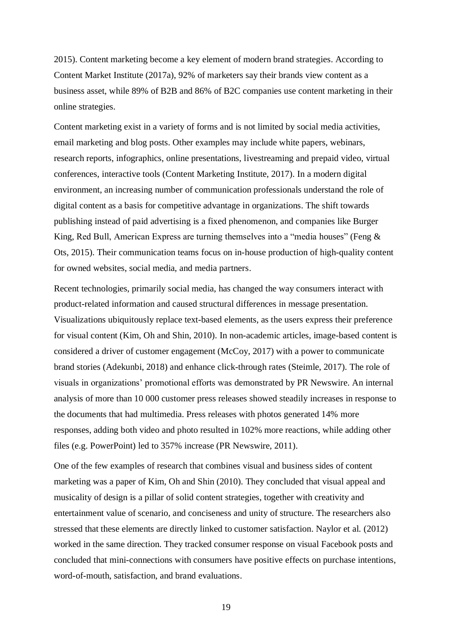2015). Content marketing become a key element of modern brand strategies. According to Content Market Institute (2017a), 92% of marketers say their brands view content as a business asset, while 89% of B2B and 86% of B2C companies use content marketing in their online strategies.

Content marketing exist in a variety of forms and is not limited by social media activities, email marketing and blog posts. Other examples may include white papers, webinars, research reports, infographics, online presentations, livestreaming and prepaid video, virtual conferences, interactive tools (Content Marketing Institute, 2017). In a modern digital environment, an increasing number of communication professionals understand the role of digital content as a basis for competitive advantage in organizations. The shift towards publishing instead of paid advertising is a fixed phenomenon, and companies like Burger King, Red Bull, American Express are turning themselves into a "media houses" (Feng & Ots, 2015). Their communication teams focus on in-house production of high-quality content for owned websites, social media, and media partners.

Recent technologies, primarily social media, has changed the way consumers interact with product-related information and caused structural differences in message presentation. Visualizations ubiquitously replace text-based elements, as the users express their preference for visual content (Kim, Oh and Shin, 2010). In non-academic articles, image-based content is considered a driver of customer engagement (McCoy, 2017) with a power to communicate brand stories (Adekunbi, 2018) and enhance click-through rates (Steimle, 2017). The role of visuals in organizations' promotional efforts was demonstrated by PR Newswire. An internal analysis of more than 10 000 customer press releases showed steadily increases in response to the documents that had multimedia. Press releases with photos generated 14% more responses, adding both video and photo resulted in 102% more reactions, while adding other files (e.g. PowerPoint) led to 357% increase (PR Newswire, 2011).

One of the few examples of research that combines visual and business sides of content marketing was a paper of Kim, Oh and Shin (2010). They concluded that visual appeal and musicality of design is a pillar of solid content strategies, together with creativity and entertainment value of scenario, and conciseness and unity of structure. The researchers also stressed that these elements are directly linked to customer satisfaction. Naylor et al. (2012) worked in the same direction. They tracked consumer response on visual Facebook posts and concluded that mini-connections with consumers have positive effects on purchase intentions, word-of-mouth, satisfaction, and brand evaluations.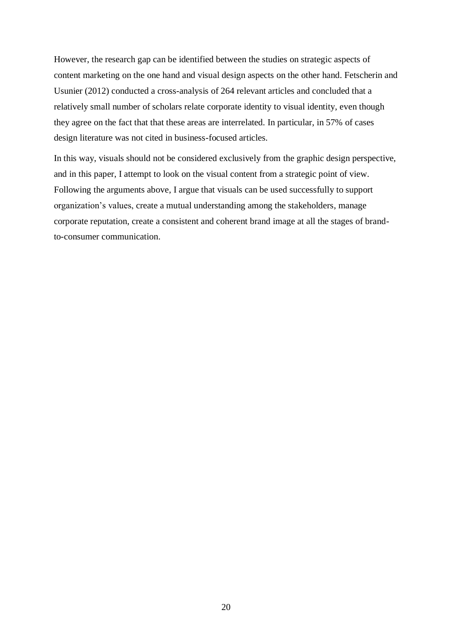However, the research gap can be identified between the studies on strategic aspects of content marketing on the one hand and visual design aspects on the other hand. Fetscherin and Usunier (2012) conducted a cross-analysis of 264 relevant articles and concluded that a relatively small number of scholars relate corporate identity to visual identity, even though they agree on the fact that that these areas are interrelated. In particular, in 57% of cases design literature was not cited in business-focused articles.

In this way, visuals should not be considered exclusively from the graphic design perspective, and in this paper, I attempt to look on the visual content from a strategic point of view. Following the arguments above, I argue that visuals can be used successfully to support organization's values, create a mutual understanding among the stakeholders, manage corporate reputation, create a consistent and coherent brand image at all the stages of brandto-consumer communication.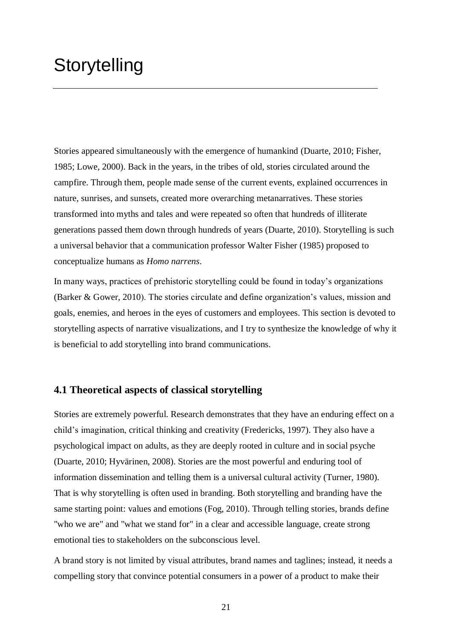# **Storytelling**

Stories appeared simultaneously with the emergence of humankind (Duarte, 2010; Fisher, 1985; Lowe, 2000). Back in the years, in the tribes of old, stories circulated around the campfire. Through them, people made sense of the current events, explained occurrences in nature, sunrises, and sunsets, created more overarching metanarratives. These stories transformed into myths and tales and were repeated so often that hundreds of illiterate generations passed them down through hundreds of years (Duarte, 2010). Storytelling is such a universal behavior that a communication professor Walter Fisher (1985) proposed to conceptualize humans as *Homo narrens*.

In many ways, practices of prehistoric storytelling could be found in today's organizations (Barker & Gower, 2010). The stories circulate and define organization's values, mission and goals, enemies, and heroes in the eyes of customers and employees. This section is devoted to storytelling aspects of narrative visualizations, and I try to synthesize the knowledge of why it is beneficial to add storytelling into brand communications.

#### **4.1 Theoretical aspects of classical storytelling**

Stories are extremely powerful. Research demonstrates that they have an enduring effect on a child's imagination, critical thinking and creativity (Fredericks, 1997). They also have a psychological impact on adults, as they are deeply rooted in culture and in social psyche (Duarte, 2010; Hyvärinen, 2008). Stories are the most powerful and enduring tool of information dissemination and telling them is a universal cultural activity (Turner, 1980). That is why storytelling is often used in branding. Both storytelling and branding have the same starting point: values and emotions (Fog, 2010). Through telling stories, brands define "who we are" and "what we stand for" in a clear and accessible language, create strong emotional ties to stakeholders on the subconscious level.

A brand story is not limited by visual attributes, brand names and taglines; instead, it needs a compelling story that convince potential consumers in a power of a product to make their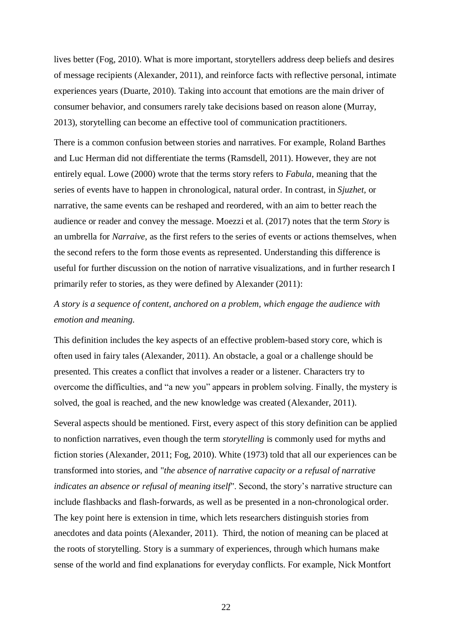lives better (Fog, 2010). What is more important, storytellers address deep beliefs and desires of message recipients (Alexander, 2011), and reinforce facts with reflective personal, intimate experiences years (Duarte, 2010). Taking into account that emotions are the main driver of consumer behavior, and consumers rarely take decisions based on reason alone (Murray, 2013), storytelling can become an effective tool of communication practitioners.

There is a common confusion between stories and narratives. For example, Roland Barthes and Luc Herman did not differentiate the terms (Ramsdell, 2011). However, they are not entirely equal. Lowe (2000) wrote that the terms story refers to *Fabula*, meaning that the series of events have to happen in chronological, natural order. In contrast, in *Sjuzhet,* or narrative, the same events can be reshaped and reordered, with an aim to better reach the audience or reader and convey the message. Moezzi et al. (2017) notes that the term *Story* is an umbrella for *Narraive*, as the first refers to the series of events or actions themselves, when the second refers to the form those events as represented. Understanding this difference is useful for further discussion on the notion of narrative visualizations, and in further research I primarily refer to stories, as they were defined by Alexander (2011):

# *A story is a sequence of content, anchored on a problem, which engage the audience with emotion and meaning.*

This definition includes the key aspects of an effective problem-based story core, which is often used in fairy tales (Alexander, 2011). An obstacle, a goal or a challenge should be presented. This creates a conflict that involves a reader or a listener. Characters try to overcome the difficulties, and "a new you" appears in problem solving. Finally, the mystery is solved, the goal is reached, and the new knowledge was created (Alexander, 2011).

Several aspects should be mentioned. First, every aspect of this story definition can be applied to nonfiction narratives, even though the term *storytelling* is commonly used for myths and fiction stories (Alexander, 2011; Fog, 2010). White (1973) told that all our experiences can be transformed into stories, and "*the absence of narrative capacity or a refusal of narrative indicates an absence or refusal of meaning itself*". Second, the story's narrative structure can include flashbacks and flash-forwards, as well as be presented in a non-chronological order. The key point here is extension in time, which lets researchers distinguish stories from anecdotes and data points (Alexander, 2011). Third, the notion of meaning can be placed at the roots of storytelling. Story is a summary of experiences, through which humans make sense of the world and find explanations for everyday conflicts. For example, Nick Montfort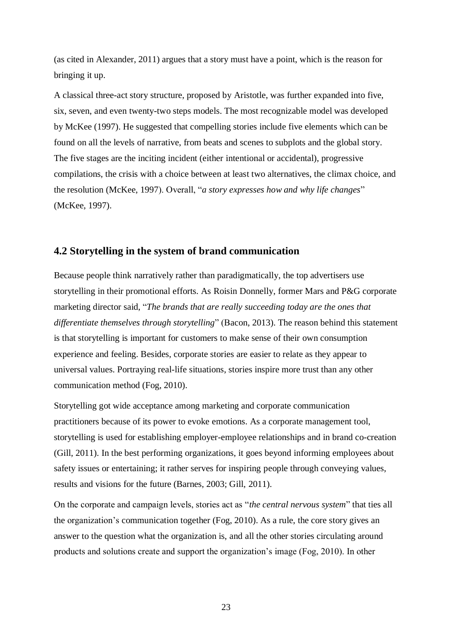(as cited in Alexander, 2011) argues that a story must have a point, which is the reason for bringing it up.

A classical three-act story structure, proposed by Aristotle, was further expanded into five, six, seven, and even twenty-two steps models. The most recognizable model was developed by McKee (1997). He suggested that compelling stories include five elements which can be found on all the levels of narrative, from beats and scenes to subplots and the global story. The five stages are the inciting incident (either intentional or accidental), progressive compilations, the crisis with a choice between at least two alternatives, the climax choice, and the resolution (McKee, 1997). Overall, "*a story expresses how and why life changes*" (McKee, 1997).

#### **4.2 Storytelling in the system of brand communication**

Because people think narratively rather than paradigmatically, the top advertisers use storytelling in their promotional efforts. As Roisin Donnelly, former Mars and P&G corporate marketing director said, "*The brands that are really succeeding today are the ones that differentiate themselves through storytelling*" (Bacon, 2013). The reason behind this statement is that storytelling is important for customers to make sense of their own consumption experience and feeling. Besides, corporate stories are easier to relate as they appear to universal values. Portraying real-life situations, stories inspire more trust than any other communication method (Fog, 2010).

Storytelling got wide acceptance among marketing and corporate communication practitioners because of its power to evoke emotions. As a corporate management tool, storytelling is used for establishing employer-employee relationships and in brand co-creation (Gill, 2011). In the best performing organizations, it goes beyond informing employees about safety issues or entertaining; it rather serves for inspiring people through conveying values, results and visions for the future (Barnes, 2003; Gill, 2011).

On the corporate and campaign levels, stories act as "*the central nervous system*" that ties all the organization's communication together (Fog, 2010). As a rule, the core story gives an answer to the question what the organization is, and all the other stories circulating around products and solutions create and support the organization's image (Fog, 2010). In other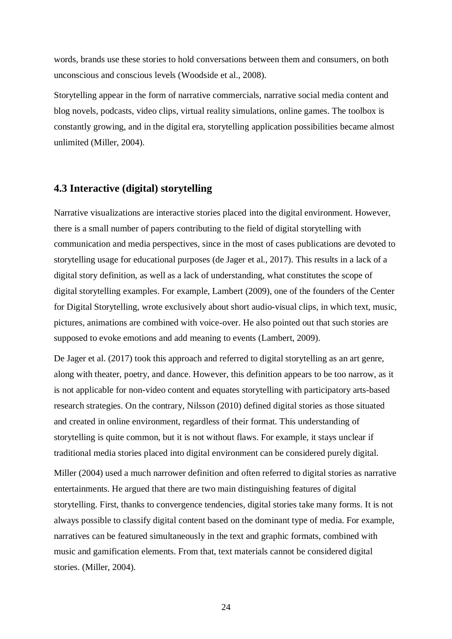words, brands use these stories to hold conversations between them and consumers, on both unconscious and conscious levels (Woodside et al., 2008).

Storytelling appear in the form of narrative commercials, narrative social media content and blog novels, podcasts, video clips, virtual reality simulations, online games. The toolbox is constantly growing, and in the digital era, storytelling application possibilities became almost unlimited (Miller, 2004).

## **4.3 Interactive (digital) storytelling**

Narrative visualizations are interactive stories placed into the digital environment. However, there is a small number of papers contributing to the field of digital storytelling with communication and media perspectives, since in the most of cases publications are devoted to storytelling usage for educational purposes (de Jager et al., 2017). This results in a lack of a digital story definition, as well as a lack of understanding, what constitutes the scope of digital storytelling examples. For example, Lambert (2009), one of the founders of the Center for Digital Storytelling, wrote exclusively about short audio-visual clips, in which text, music, pictures, animations are combined with voice-over. He also pointed out that such stories are supposed to evoke emotions and add meaning to events (Lambert, 2009).

De Jager et al. (2017) took this approach and referred to digital storytelling as an art genre, along with theater, poetry, and dance. However, this definition appears to be too narrow, as it is not applicable for non-video content and equates storytelling with participatory arts-based research strategies. On the contrary, Nilsson (2010) defined digital stories as those situated and created in online environment, regardless of their format. This understanding of storytelling is quite common, but it is not without flaws. For example, it stays unclear if traditional media stories placed into digital environment can be considered purely digital.

Miller (2004) used a much narrower definition and often referred to digital stories as narrative entertainments. He argued that there are two main distinguishing features of digital storytelling. First, thanks to convergence tendencies, digital stories take many forms. It is not always possible to classify digital content based on the dominant type of media. For example, narratives can be featured simultaneously in the text and graphic formats, combined with music and gamification elements. From that, text materials cannot be considered digital stories. (Miller, 2004).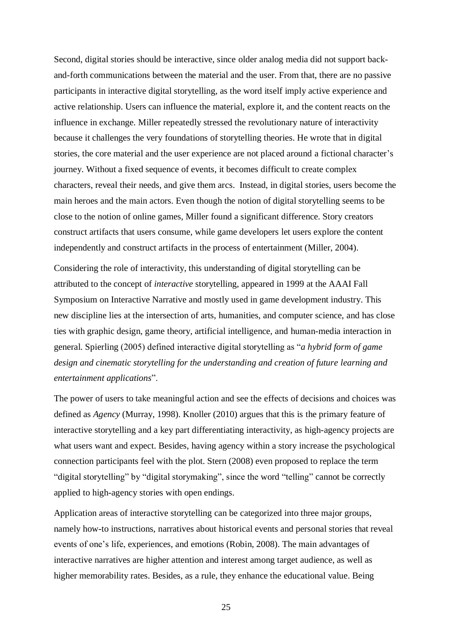Second, digital stories should be interactive, since older analog media did not support backand-forth communications between the material and the user. From that, there are no passive participants in interactive digital storytelling, as the word itself imply active experience and active relationship. Users can influence the material, explore it, and the content reacts on the influence in exchange. Miller repeatedly stressed the revolutionary nature of interactivity because it challenges the very foundations of storytelling theories. He wrote that in digital stories, the core material and the user experience are not placed around a fictional character's journey. Without a fixed sequence of events, it becomes difficult to create complex characters, reveal their needs, and give them arcs. Instead, in digital stories, users become the main heroes and the main actors. Even though the notion of digital storytelling seems to be close to the notion of online games, Miller found a significant difference. Story creators construct artifacts that users consume, while game developers let users explore the content independently and construct artifacts in the process of entertainment (Miller, 2004).

Considering the role of interactivity, this understanding of digital storytelling can be attributed to the concept of *interactive* storytelling, appeared in 1999 at the AAAI Fall Symposium on Interactive Narrative and mostly used in game development industry. This new discipline lies at the intersection of arts, humanities, and computer science, and has close ties with graphic design, game theory, artificial intelligence, and human-media interaction in general. Spierling (2005) defined interactive digital storytelling as "*a hybrid form of game design and cinematic storytelling for the understanding and creation of future learning and entertainment applications*".

The power of users to take meaningful action and see the effects of decisions and choices was defined as *Agency* (Murray, 1998). Knoller (2010) argues that this is the primary feature of interactive storytelling and a key part differentiating interactivity, as high-agency projects are what users want and expect. Besides, having agency within a story increase the psychological connection participants feel with the plot. Stern (2008) even proposed to replace the term "digital storytelling" by "digital storymaking", since the word "telling" cannot be correctly applied to high-agency stories with open endings.

Application areas of interactive storytelling can be categorized into three major groups, namely how-to instructions, narratives about historical events and personal stories that reveal events of one's life, experiences, and emotions (Robin, 2008). The main advantages of interactive narratives are higher attention and interest among target audience, as well as higher memorability rates. Besides, as a rule, they enhance the educational value. Being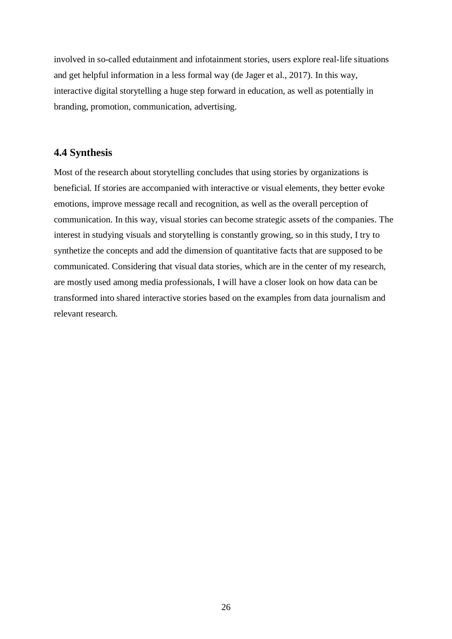involved in so-called edutainment and infotainment stories, users explore real-life situations and get helpful information in a less formal way (de Jager et al., 2017). In this way, interactive digital storytelling a huge step forward in education, as well as potentially in branding, promotion, communication, advertising.

# **4.4 Synthesis**

Most of the research about storytelling concludes that using stories by organizations is beneficial. If stories are accompanied with interactive or visual elements, they better evoke emotions, improve message recall and recognition, as well as the overall perception of communication. In this way, visual stories can become strategic assets of the companies. The interest in studying visuals and storytelling is constantly growing, so in this study, I try to synthetize the concepts and add the dimension of quantitative facts that are supposed to be communicated. Considering that visual data stories, which are in the center of my research, are mostly used among media professionals, I will have a closer look on how data can be transformed into shared interactive stories based on the examples from data journalism and relevant research.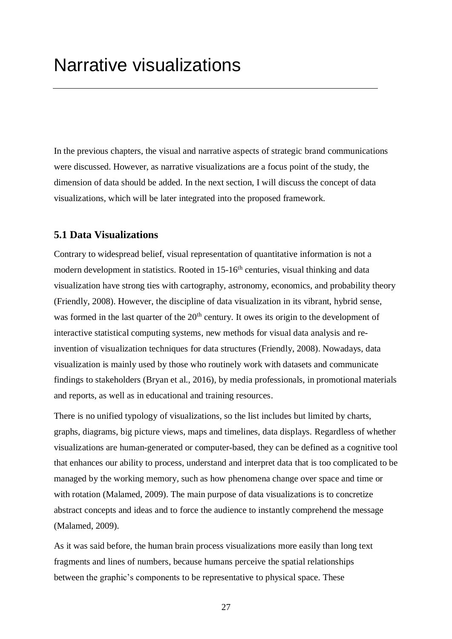In the previous chapters, the visual and narrative aspects of strategic brand communications were discussed. However, as narrative visualizations are a focus point of the study, the dimension of data should be added. In the next section, I will discuss the concept of data visualizations, which will be later integrated into the proposed framework.

## **5.1 Data Visualizations**

Contrary to widespread belief, visual representation of quantitative information is not a modern development in statistics. Rooted in 15-16<sup>th</sup> centuries, visual thinking and data visualization have strong ties with cartography, astronomy, economics, and probability theory (Friendly, 2008). However, the discipline of data visualization in its vibrant, hybrid sense, was formed in the last quarter of the 20<sup>th</sup> century. It owes its origin to the development of interactive statistical computing systems, new methods for visual data analysis and reinvention of visualization techniques for data structures (Friendly, 2008). Nowadays, data visualization is mainly used by those who routinely work with datasets and communicate findings to stakeholders (Bryan et al., 2016), by media professionals, in promotional materials and reports, as well as in educational and training resources.

There is no unified typology of visualizations, so the list includes but limited by charts, graphs, diagrams, big picture views, maps and timelines, data displays. Regardless of whether visualizations are human-generated or computer-based, they can be defined as a cognitive tool that enhances our ability to process, understand and interpret data that is too complicated to be managed by the working memory*,* such as how phenomena change over space and time or with rotation (Malamed, 2009). The main purpose of data visualizations is to concretize abstract concepts and ideas and to force the audience to instantly comprehend the message (Malamed, 2009).

As it was said before, the human brain process visualizations more easily than long text fragments and lines of numbers, because humans perceive the spatial relationships between the graphic's components to be representative to physical space. These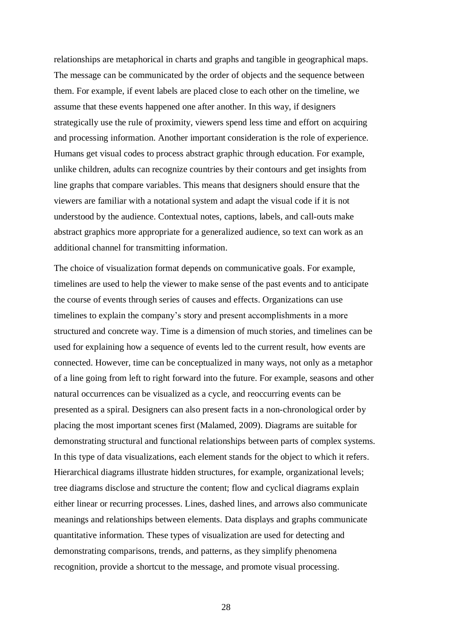relationships are metaphorical in charts and graphs and tangible in geographical maps. The message can be communicated by the order of objects and the sequence between them. For example, if event labels are placed close to each other on the timeline, we assume that these events happened one after another. In this way, if designers strategically use the rule of proximity, viewers spend less time and effort on acquiring and processing information. Another important consideration is the role of experience. Humans get visual codes to process abstract graphic through education. For example, unlike children, adults can recognize countries by their contours and get insights from line graphs that compare variables. This means that designers should ensure that the viewers are familiar with a notational system and adapt the visual code if it is not understood by the audience. Contextual notes, captions, labels, and call-outs make abstract graphics more appropriate for a generalized audience, so text can work as an additional channel for transmitting information.

The choice of visualization format depends on communicative goals. For example, timelines are used to help the viewer to make sense of the past events and to anticipate the course of events through series of causes and effects. Organizations can use timelines to explain the company's story and present accomplishments in a more structured and concrete way. Time is a dimension of much stories, and timelines can be used for explaining how a sequence of events led to the current result, how events are connected. However, time can be conceptualized in many ways, not only as a metaphor of a line going from left to right forward into the future. For example, seasons and other natural occurrences can be visualized as a cycle, and reoccurring events can be presented as a spiral. Designers can also present facts in a non-chronological order by placing the most important scenes first (Malamed, 2009). Diagrams are suitable for demonstrating structural and functional relationships between parts of complex systems. In this type of data visualizations, each element stands for the object to which it refers. Hierarchical diagrams illustrate hidden structures, for example, organizational levels; tree diagrams disclose and structure the content; flow and cyclical diagrams explain either linear or recurring processes. Lines, dashed lines, and arrows also communicate meanings and relationships between elements. Data displays and graphs communicate quantitative information. These types of visualization are used for detecting and demonstrating comparisons, trends, and patterns, as they simplify phenomena recognition, provide a shortcut to the message, and promote visual processing.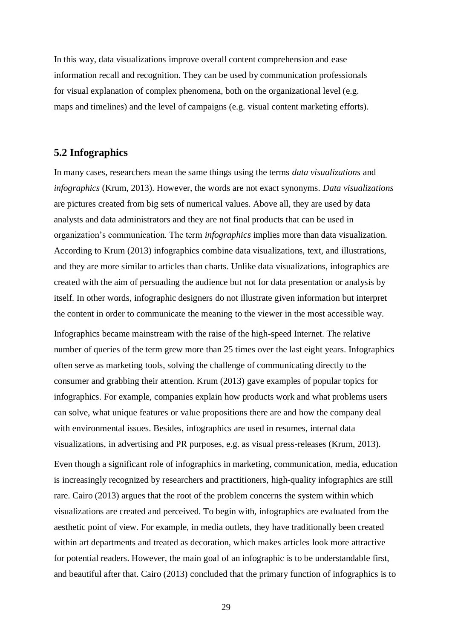In this way, data visualizations improve overall content comprehension and ease information recall and recognition. They can be used by communication professionals for visual explanation of complex phenomena, both on the organizational level (e.g. maps and timelines) and the level of campaigns (e.g. visual content marketing efforts).

#### **5.2 Infographics**

In many cases, researchers mean the same things using the terms *data visualizations* and *infographics* (Krum, 2013). However, the words are not exact synonyms. *Data visualizations* are pictures created from big sets of numerical values. Above all, they are used by data analysts and data administrators and they are not final products that can be used in organization's communication. The term *infographics* implies more than data visualization. According to Krum (2013) infographics combine data visualizations, text, and illustrations, and they are more similar to articles than charts. Unlike data visualizations, infographics are created with the aim of persuading the audience but not for data presentation or analysis by itself. In other words, infographic designers do not illustrate given information but interpret the content in order to communicate the meaning to the viewer in the most accessible way.

Infographics became mainstream with the raise of the high-speed Internet. The relative number of queries of the term grew more than 25 times over the last eight years. Infographics often serve as marketing tools, solving the challenge of communicating directly to the consumer and grabbing their attention. Krum (2013) gave examples of popular topics for infographics. For example, companies explain how products work and what problems users can solve, what unique features or value propositions there are and how the company deal with environmental issues. Besides, infographics are used in resumes, internal data visualizations, in advertising and PR purposes, e.g. as visual press-releases (Krum, 2013).

Even though a significant role of infographics in marketing, communication, media, education is increasingly recognized by researchers and practitioners, high-quality infographics are still rare. Cairo (2013) argues that the root of the problem concerns the system within which visualizations are created and perceived. To begin with, infographics are evaluated from the aesthetic point of view. For example, in media outlets, they have traditionally been created within art departments and treated as decoration, which makes articles look more attractive for potential readers. However, the main goal of an infographic is to be understandable first, and beautiful after that. Cairo (2013) concluded that the primary function of infographics is to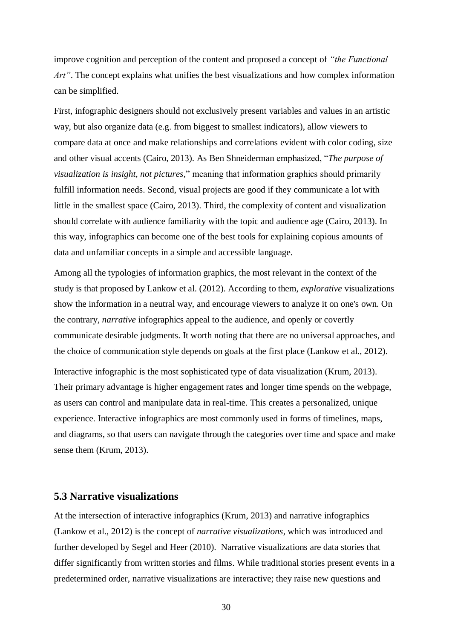improve cognition and perception of the content and proposed a concept of *"the Functional Art*". The concept explains what unifies the best visualizations and how complex information can be simplified.

First, infographic designers should not exclusively present variables and values in an artistic way, but also organize data (e.g. from biggest to smallest indicators), allow viewers to compare data at once and make relationships and correlations evident with color coding, size and other visual accents (Cairo, 2013). As Ben Shneiderman emphasized, "*The purpose of visualization is insight, not pictures,*" meaning that information graphics should primarily fulfill information needs. Second, visual projects are good if they communicate a lot with little in the smallest space (Cairo, 2013). Third, the complexity of content and visualization should correlate with audience familiarity with the topic and audience age (Cairo, 2013). In this way, infographics can become one of the best tools for explaining copious amounts of data and unfamiliar concepts in a simple and accessible language.

Among all the typologies of information graphics, the most relevant in the context of the study is that proposed by Lankow et al. (2012). According to them, *explorative* visualizations show the information in a neutral way, and encourage viewers to analyze it on one's own. On the contrary, *narrative* infographics appeal to the audience, and openly or covertly communicate desirable judgments. It worth noting that there are no universal approaches, and the choice of communication style depends on goals at the first place (Lankow et al., 2012). Interactive infographic is the most sophisticated type of data visualization (Krum, 2013). Their primary advantage is higher engagement rates and longer time spends on the webpage, as users can control and manipulate data in real-time. This creates a personalized, unique experience. Interactive infographics are most commonly used in forms of timelines, maps, and diagrams, so that users can navigate through the categories over time and space and make sense them (Krum, 2013).

### **5.3 Narrative visualizations**

At the intersection of interactive infographics (Krum, 2013) and narrative infographics (Lankow et al., 2012) is the concept of *narrative visualizations,* which was introduced and further developed by Segel and Heer (2010). Narrative visualizations are data stories that differ significantly from written stories and films. While traditional stories present events in a predetermined order, narrative visualizations are interactive; they raise new questions and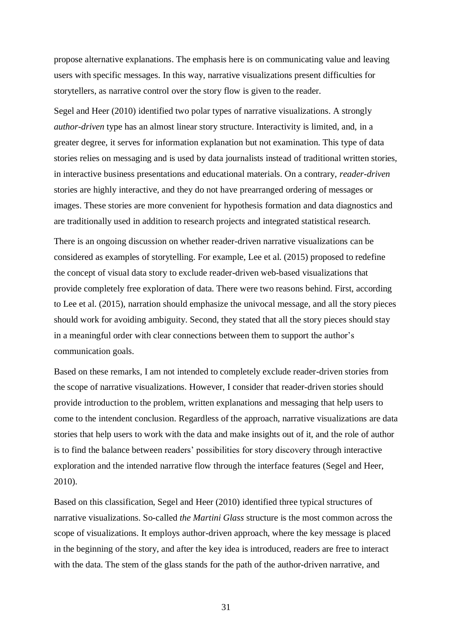propose alternative explanations. The emphasis here is on communicating value and leaving users with specific messages. In this way, narrative visualizations present difficulties for storytellers, as narrative control over the story flow is given to the reader.

Segel and Heer (2010) identified two polar types of narrative visualizations. A strongly *author-driven* type has an almost linear story structure. Interactivity is limited, and, in a greater degree, it serves for information explanation but not examination. This type of data stories relies on messaging and is used by data journalists instead of traditional written stories, in interactive business presentations and educational materials. On a contrary, *reader-driven* stories are highly interactive, and they do not have prearranged ordering of messages or images. These stories are more convenient for hypothesis formation and data diagnostics and are traditionally used in addition to research projects and integrated statistical research.

There is an ongoing discussion on whether reader-driven narrative visualizations can be considered as examples of storytelling. For example, Lee et al. (2015) proposed to redefine the concept of visual data story to exclude reader-driven web-based visualizations that provide completely free exploration of data. There were two reasons behind. First, according to Lee et al. (2015), narration should emphasize the univocal message, and all the story pieces should work for avoiding ambiguity. Second, they stated that all the story pieces should stay in a meaningful order with clear connections between them to support the author's communication goals.

Based on these remarks, I am not intended to completely exclude reader-driven stories from the scope of narrative visualizations. However, I consider that reader-driven stories should provide introduction to the problem, written explanations and messaging that help users to come to the intendent conclusion. Regardless of the approach, narrative visualizations are data stories that help users to work with the data and make insights out of it, and the role of author is to find the balance between readers' possibilities for story discovery through interactive exploration and the intended narrative flow through the interface features (Segel and Heer, 2010).

Based on this classification, Segel and Heer (2010) identified three typical structures of narrative visualizations. So-called *the Martini Glass* structure is the most common across the scope of visualizations. It employs author-driven approach, where the key message is placed in the beginning of the story, and after the key idea is introduced, readers are free to interact with the data. The stem of the glass stands for the path of the author-driven narrative, and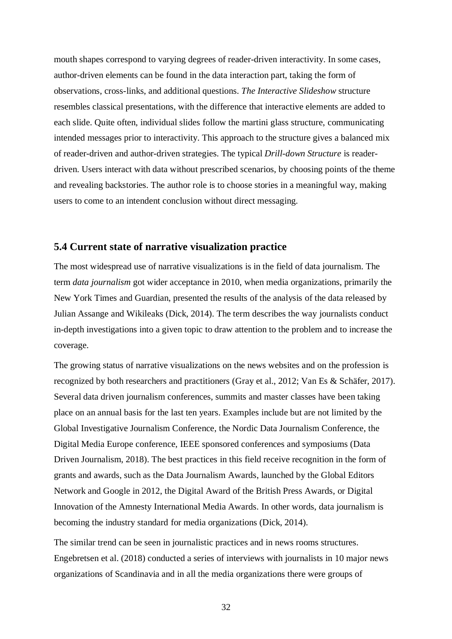mouth shapes correspond to varying degrees of reader-driven interactivity. In some cases, author-driven elements can be found in the data interaction part, taking the form of observations, cross-links, and additional questions. *The Interactive Slideshow* structure resembles classical presentations, with the difference that interactive elements are added to each slide. Quite often, individual slides follow the martini glass structure, communicating intended messages prior to interactivity. This approach to the structure gives a balanced mix of reader-driven and author-driven strategies. The typical *Drill-down Structure* is readerdriven. Users interact with data without prescribed scenarios, by choosing points of the theme and revealing backstories. The author role is to choose stories in a meaningful way, making users to come to an intendent conclusion without direct messaging.

### **5.4 Current state of narrative visualization practice**

The most widespread use of narrative visualizations is in the field of data journalism. The term *data journalism* got wider acceptance in 2010, when media organizations, primarily the New York Times and Guardian, presented the results of the analysis of the data released by Julian Assange and Wikileaks (Dick, 2014). The term describes the way journalists conduct in-depth investigations into a given topic to draw attention to the problem and to increase the coverage.

The growing status of narrative visualizations on the news websites and on the profession is recognized by both researchers and practitioners (Gray et al., 2012; Van Es & Schäfer, 2017). Several data driven journalism conferences, summits and master classes have been taking place on an annual basis for the last ten years. Examples include but are not limited by the Global Investigative Journalism Conference, the Nordic Data Journalism Conference, the Digital Media Europe conference, IEEE sponsored conferences and symposiums (Data Driven Journalism, 2018). The best practices in this field receive recognition in the form of grants and awards, such as the Data Journalism Awards, launched by the Global Editors Network and Google in 2012, the Digital Award of the British Press Awards, or Digital Innovation of the Amnesty International Media Awards. In other words, data journalism is becoming the industry standard for media organizations (Dick, 2014).

The similar trend can be seen in journalistic practices and in news rooms structures. Engebretsen et al. (2018) conducted a series of interviews with journalists in 10 major news organizations of Scandinavia and in all the media organizations there were groups of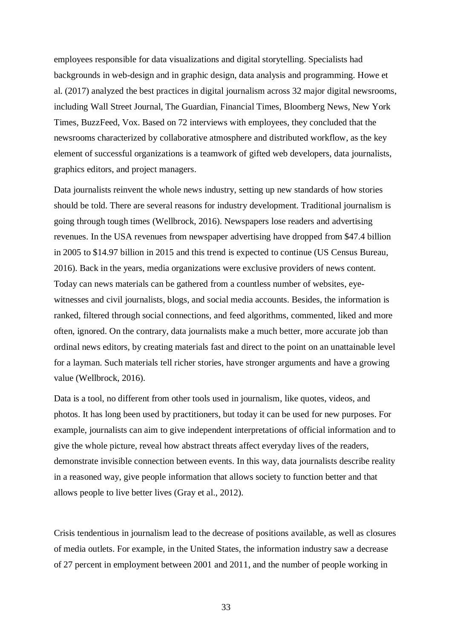employees responsible for data visualizations and digital storytelling. Specialists had backgrounds in web-design and in graphic design, data analysis and programming. Howe et al. (2017) analyzed the best practices in digital journalism across 32 major digital newsrooms, including Wall Street Journal, The Guardian, Financial Times, Bloomberg News, New York Times, BuzzFeed, Vox. Based on 72 interviews with employees, they concluded that the newsrooms characterized by collaborative atmosphere and distributed workflow, as the key element of successful organizations is a teamwork of gifted web developers, data journalists, graphics editors, and project managers.

Data journalists reinvent the whole news industry, setting up new standards of how stories should be told. There are several reasons for industry development. Traditional journalism is going through tough times (Wellbrock, 2016). Newspapers lose readers and advertising revenues. In the USA revenues from newspaper advertising have dropped from \$47.4 billion in 2005 to \$14.97 billion in 2015 and this trend is expected to continue (US Census Bureau, 2016). Back in the years, media organizations were exclusive providers of news content. Today can news materials can be gathered from a countless number of websites, eyewitnesses and civil journalists, blogs, and social media accounts. Besides, the information is ranked, filtered through social connections, and feed algorithms, commented, liked and more often, ignored. On the contrary, data journalists make a much better, more accurate job than ordinal news editors, by creating materials fast and direct to the point on an unattainable level for a layman. Such materials tell richer stories, have stronger arguments and have a growing value (Wellbrock, 2016).

Data is a tool, no different from other tools used in journalism, like quotes, videos, and photos. It has long been used by practitioners, but today it can be used for new purposes. For example, journalists can aim to give independent interpretations of official information and to give the whole picture, reveal how abstract threats affect everyday lives of the readers, demonstrate invisible connection between events. In this way, data journalists describe reality in a reasoned way, give people information that allows society to function better and that allows people to live better lives (Gray et al., 2012).

Crisis tendentious in journalism lead to the decrease of positions available, as well as closures of media outlets. For example, in the United States, the information industry saw a decrease of 27 percent in employment between 2001 and 2011, and the number of people working in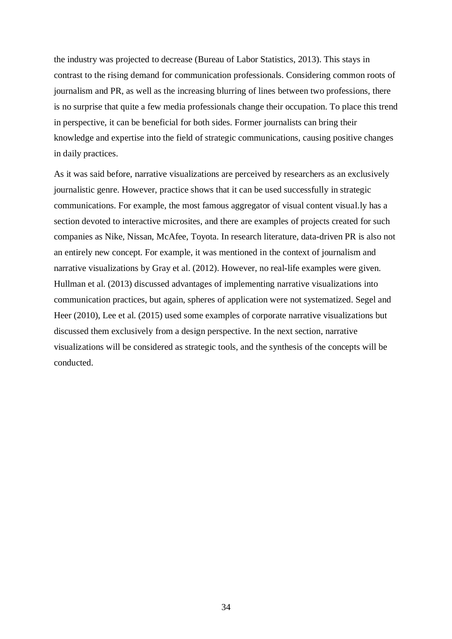the industry was projected to decrease (Bureau of Labor Statistics, 2013). This stays in contrast to the rising demand for communication professionals. Considering common roots of journalism and PR, as well as the increasing blurring of lines between two professions, there is no surprise that quite a few media professionals change their occupation. To place this trend in perspective, it can be beneficial for both sides. Former journalists can bring their knowledge and expertise into the field of strategic communications, causing positive changes in daily practices.

As it was said before, narrative visualizations are perceived by researchers as an exclusively journalistic genre. However, practice shows that it can be used successfully in strategic communications. For example, the most famous aggregator of visual content visual.ly has a section devoted to interactive microsites, and there are examples of projects created for such companies as Nike, Nissan, McAfee, Toyota. In research literature, data-driven PR is also not an entirely new concept. For example, it was mentioned in the context of journalism and narrative visualizations by Gray et al. (2012). However, no real-life examples were given. Hullman et al. (2013) discussed advantages of implementing narrative visualizations into communication practices, but again, spheres of application were not systematized. Segel and Heer (2010), Lee et al. (2015) used some examples of corporate narrative visualizations but discussed them exclusively from a design perspective. In the next section, narrative visualizations will be considered as strategic tools, and the synthesis of the concepts will be conducted.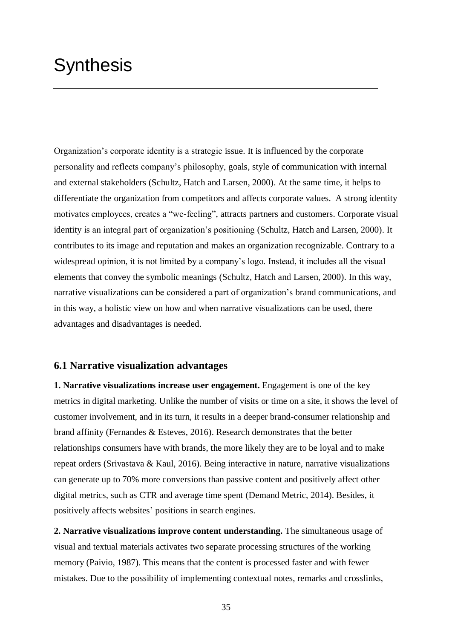# **Synthesis**

Organization's corporate identity is a strategic issue. It is influenced by the corporate personality and reflects company's philosophy, goals, style of communication with internal and external stakeholders (Schultz, Hatch and Larsen, 2000). At the same time, it helps to differentiate the organization from competitors and affects corporate values. A strong identity motivates employees, creates a "we-feeling", attracts partners and customers. Corporate visual identity is an integral part of organization's positioning (Schultz, Hatch and Larsen, 2000). It contributes to its image and reputation and makes an organization recognizable. Contrary to a widespread opinion, it is not limited by a company's logo. Instead, it includes all the visual elements that convey the symbolic meanings (Schultz, Hatch and Larsen, 2000). In this way, narrative visualizations can be considered a part of organization's brand communications, and in this way, a holistic view on how and when narrative visualizations can be used, there advantages and disadvantages is needed.

### **6.1 Narrative visualization advantages**

**1. Narrative visualizations increase user engagement.** Engagement is one of the key metrics in digital marketing. Unlike the number of visits or time on a site, it shows the level of customer involvement, and in its turn, it results in a deeper brand-consumer relationship and brand affinity (Fernandes & Esteves, 2016). Research demonstrates that the better relationships consumers have with brands, the more likely they are to be loyal and to make repeat orders (Srivastava & Kaul, 2016). Being interactive in nature, narrative visualizations can generate up to 70% more conversions than passive content and positively affect other digital metrics, such as CTR and average time spent (Demand Metric, 2014). Besides, it positively affects websites' positions in search engines.

**2. Narrative visualizations improve content understanding.** The simultaneous usage of visual and textual materials activates two separate processing structures of the working memory (Paivio, 1987)*.* This means that the content is processed faster and with fewer mistakes. Due to the possibility of implementing contextual notes, remarks and crosslinks,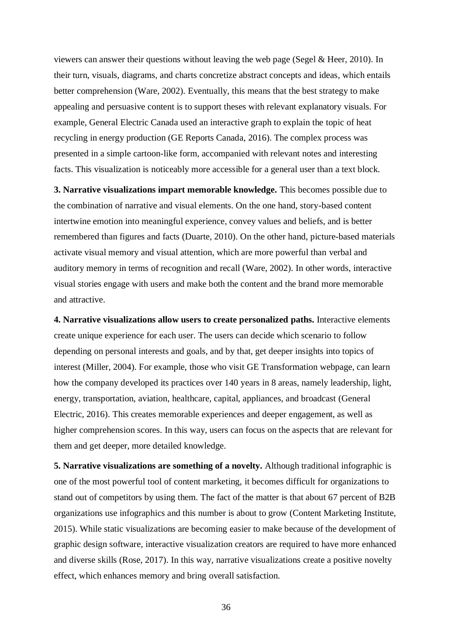viewers can answer their questions without leaving the web page (Segel & Heer, 2010). In their turn, visuals, diagrams, and charts concretize abstract concepts and ideas, which entails better comprehension (Ware, 2002). Eventually, this means that the best strategy to make appealing and persuasive content is to support theses with relevant explanatory visuals. For example, General Electric Canada used an interactive graph to explain the topic of heat recycling in energy production (GE Reports Canada, 2016). The complex process was presented in a simple cartoon-like form, accompanied with relevant notes and interesting facts. This visualization is noticeably more accessible for a general user than a text block.

**3. Narrative visualizations impart memorable knowledge.** This becomes possible due to the combination of narrative and visual elements. On the one hand, story-based content intertwine emotion into meaningful experience, convey values and beliefs, and is better remembered than figures and facts (Duarte, 2010). On the other hand, picture-based materials activate visual memory and visual attention, which are more powerful than verbal and auditory memory in terms of recognition and recall (Ware, 2002). In other words, interactive visual stories engage with users and make both the content and the brand more memorable and attractive.

**4. Narrative visualizations allow users to create personalized paths.** Interactive elements create unique experience for each user. The users can decide which scenario to follow depending on personal interests and goals, and by that, get deeper insights into topics of interest (Miller, 2004). For example, those who visit GE Transformation webpage, can learn how the company developed its practices over 140 years in 8 areas, namely leadership, light, energy, transportation, aviation, healthcare, capital, appliances, and broadcast (General Electric, 2016). This creates memorable experiences and deeper engagement, as well as higher comprehension scores. In this way, users can focus on the aspects that are relevant for them and get deeper, more detailed knowledge.

**5. Narrative visualizations are something of a novelty.** Although traditional infographic is one of the most powerful tool of content marketing, it becomes difficult for organizations to stand out of competitors by using them. The fact of the matter is that about 67 percent of B2B organizations use infographics and this number is about to grow (Content Marketing Institute, 2015). While static visualizations are becoming easier to make because of the development of graphic design software, interactive visualization creators are required to have more enhanced and diverse skills (Rose, 2017). In this way, narrative visualizations create a positive novelty effect, which enhances memory and bring overall satisfaction.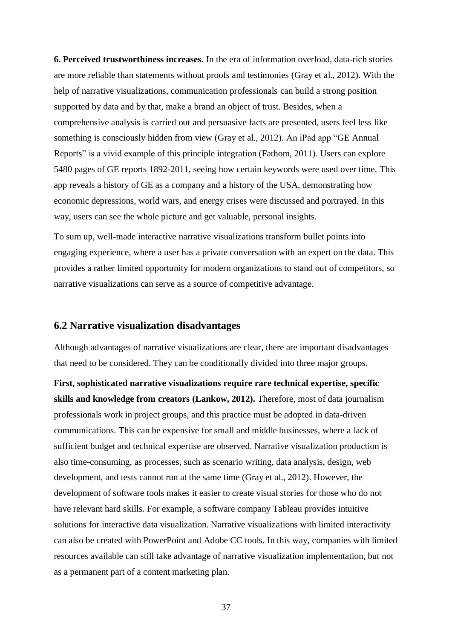**6. Perceived trustworthiness increases.** In the era of information overload, data-rich stories are more reliable than statements without proofs and testimonies (Gray et al., 2012). With the help of narrative visualizations, communication professionals can build a strong position supported by data and by that, make a brand an object of trust. Besides, when a comprehensive analysis is carried out and persuasive facts are presented, users feel less like something is consciously hidden from view (Gray et al., 2012). An iPad app "GE Annual Reports" is a vivid example of this principle integration (Fathom, 2011). Users can explore 5480 pages of GE reports 1892-2011, seeing how certain keywords were used over time. This app reveals a history of GE as a company and a history of the USA, demonstrating how economic depressions, world wars, and energy crises were discussed and portrayed. In this way, users can see the whole picture and get valuable, personal insights.

To sum up, well-made interactive narrative visualizations transform bullet points into engaging experience, where a user has a private conversation with an expert on the data. This provides a rather limited opportunity for modern organizations to stand out of competitors, so narrative visualizations can serve as a source of competitive advantage.

#### **6.2 Narrative visualization disadvantages**

Although advantages of narrative visualizations are clear, there are important disadvantages that need to be considered. They can be conditionally divided into three major groups.

**First, sophisticated narrative visualizations require rare technical expertise, specific skills and knowledge from creators (Lankow, 2012).** Therefore, most of data journalism professionals work in project groups, and this practice must be adopted in data-driven communications. This can be expensive for small and middle businesses, where a lack of sufficient budget and technical expertise are observed. Narrative visualization production is also time-consuming, as processes, such as scenario writing, data analysis, design, web development, and tests cannot run at the same time (Gray et al., 2012). However, the development of software tools makes it easier to create visual stories for those who do not have relevant hard skills. For example, a software company Tableau provides intuitive solutions for interactive data visualization. Narrative visualizations with limited interactivity can also be created with PowerPoint and Adobe CC tools. In this way, companies with limited resources available can still take advantage of narrative visualization implementation, but not as a permanent part of a content marketing plan.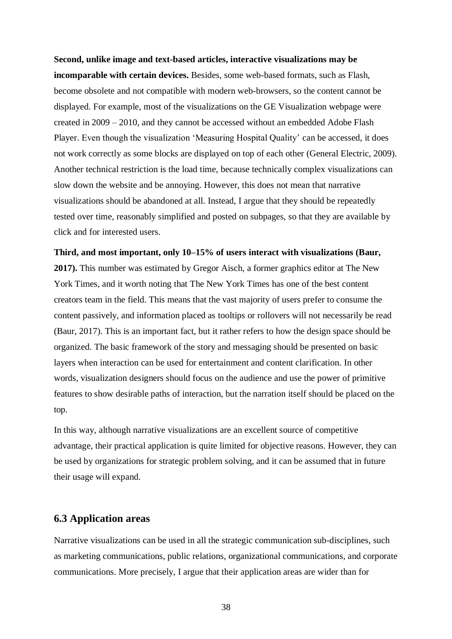**Second, unlike image and text-based articles, interactive visualizations may be incomparable with certain devices.** Besides, some web-based formats, such as Flash, become obsolete and not compatible with modern web-browsers, so the content cannot be displayed. For example, most of the visualizations on the GE Visualization webpage were created in 2009 – 2010, and they cannot be accessed without an embedded Adobe Flash Player. Even though the visualization 'Measuring Hospital Quality' can be accessed, it does not work correctly as some blocks are displayed on top of each other (General Electric, 2009). Another technical restriction is the load time, because technically complex visualizations can slow down the website and be annoying. However, this does not mean that narrative visualizations should be abandoned at all. Instead, I argue that they should be repeatedly tested over time, reasonably simplified and posted on subpages, so that they are available by click and for interested users.

**Third, and most important, only 10–15% of users interact with visualizations (Baur, 2017).** This number was estimated by Gregor Aisch, a former graphics editor at The New York Times, and it worth noting that The New York Times has one of the best content creators team in the field. This means that the vast majority of users prefer to consume the content passively, and information placed as tooltips or rollovers will not necessarily be read (Baur, 2017). This is an important fact, but it rather refers to how the design space should be organized. The basic framework of the story and messaging should be presented on basic layers when interaction can be used for entertainment and content clarification. In other words, visualization designers should focus on the audience and use the power of primitive features to show desirable paths of interaction, but the narration itself should be placed on the top.

In this way, although narrative visualizations are an excellent source of competitive advantage, their practical application is quite limited for objective reasons. However, they can be used by organizations for strategic problem solving, and it can be assumed that in future their usage will expand.

# **6.3 Application areas**

Narrative visualizations can be used in all the strategic communication sub-disciplines, such as marketing communications, public relations, organizational communications, and corporate communications. More precisely, I argue that their application areas are wider than for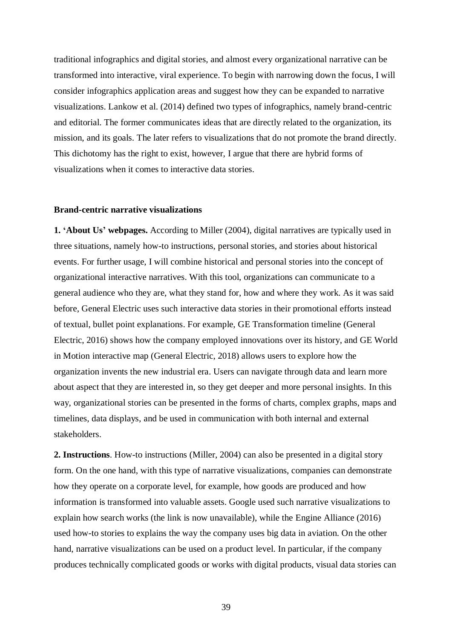traditional infographics and digital stories, and almost every organizational narrative can be transformed into interactive, viral experience. To begin with narrowing down the focus, I will consider infographics application areas and suggest how they can be expanded to narrative visualizations. Lankow et al. (2014) defined two types of infographics, namely brand-centric and editorial. The former communicates ideas that are directly related to the organization, its mission, and its goals. The later refers to visualizations that do not promote the brand directly. This dichotomy has the right to exist, however, I argue that there are hybrid forms of visualizations when it comes to interactive data stories.

#### **Brand-centric narrative visualizations**

**1. 'About Us' webpages.** According to Miller (2004), digital narratives are typically used in three situations, namely how-to instructions, personal stories, and stories about historical events. For further usage, I will combine historical and personal stories into the concept of organizational interactive narratives. With this tool, organizations can communicate to a general audience who they are, what they stand for, how and where they work. As it was said before, General Electric uses such interactive data stories in their promotional efforts instead of textual, bullet point explanations. For example, GE Transformation timeline (General Electric, 2016) shows how the company employed innovations over its history, and GE World in Motion interactive map (General Electric, 2018) allows users to explore how the organization invents the new industrial era. Users can navigate through data and learn more about aspect that they are interested in, so they get deeper and more personal insights. In this way, organizational stories can be presented in the forms of charts, complex graphs, maps and timelines, data displays, and be used in communication with both internal and external stakeholders.

**2. Instructions**. How-to instructions (Miller, 2004) can also be presented in a digital story form. On the one hand, with this type of narrative visualizations, companies can demonstrate how they operate on a corporate level, for example, how goods are produced and how information is transformed into valuable assets. Google used such narrative visualizations to explain how search works (the link is now unavailable), while the Engine Alliance (2016) used how-to stories to explains the way the company uses big data in aviation. On the other hand, narrative visualizations can be used on a product level. In particular, if the company produces technically complicated goods or works with digital products, visual data stories can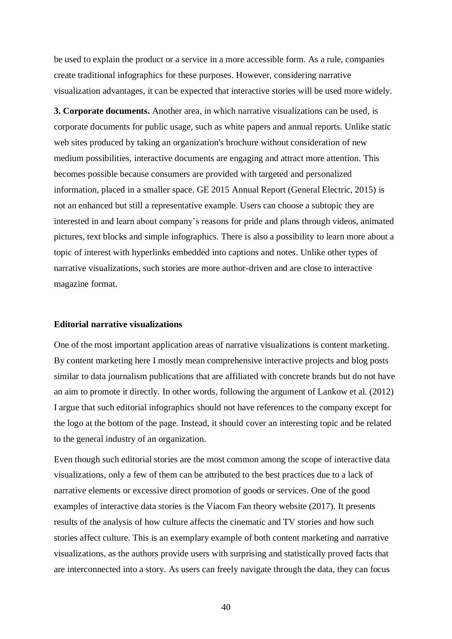be used to explain the product or a service in a more accessible form. As a rule, companies create traditional infographics for these purposes. However, considering narrative visualization advantages, it can be expected that interactive stories will be used more widely.

**3. Corporate documents.** Another area, in which narrative visualizations can be used, is corporate documents for public usage, such as white papers and annual reports. Unlike static web sites produced by taking an organization's brochure without consideration of new medium possibilities, interactive documents are engaging and attract more attention. This becomes possible because consumers are provided with targeted and personalized information, placed in a smaller space. GE 2015 Annual Report (General Electric, 2015) is not an enhanced but still a representative example. Users can choose a subtopic they are interested in and learn about company's reasons for pride and plans through videos, animated pictures, text blocks and simple infographics. There is also a possibility to learn more about a topic of interest with hyperlinks embedded into captions and notes. Unlike other types of narrative visualizations, such stories are more author-driven and are close to interactive magazine format.

#### **Editorial narrative visualizations**

One of the most important application areas of narrative visualizations is content marketing. By content marketing here I mostly mean comprehensive interactive projects and blog posts similar to data journalism publications that are affiliated with concrete brands but do not have an aim to promote it directly. In other words, following the argument of Lankow et al. (2012) I argue that such editorial infographics should not have references to the company except for the logo at the bottom of the page. Instead, it should cover an interesting topic and be related to the general industry of an organization.

Even though such editorial stories are the most common among the scope of interactive data visualizations, only a few of them can be attributed to the best practices due to a lack of narrative elements or excessive direct promotion of goods or services. One of the good examples of interactive data stories is the Viacom Fan theory website (2017). It presents results of the analysis of how culture affects the cinematic and TV stories and how such stories affect culture. This is an exemplary example of both content marketing and narrative visualizations, as the authors provide users with surprising and statistically proved facts that are interconnected into a story. As users can freely navigate through the data, they can focus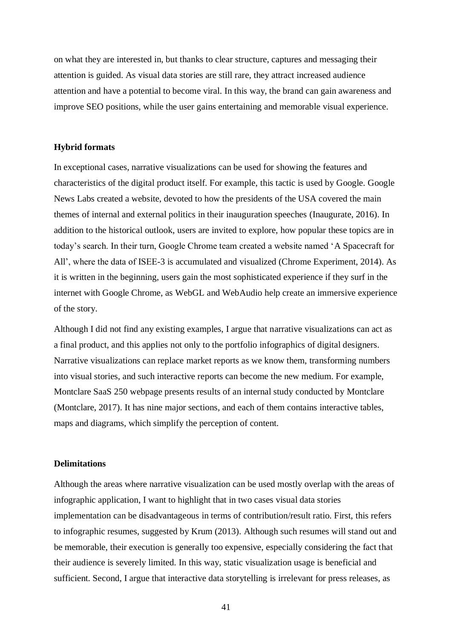on what they are interested in, but thanks to clear structure, captures and messaging their attention is guided. As visual data stories are still rare, they attract increased audience attention and have a potential to become viral. In this way, the brand can gain awareness and improve SEO positions, while the user gains entertaining and memorable visual experience.

#### **Hybrid formats**

In exceptional cases, narrative visualizations can be used for showing the features and characteristics of the digital product itself. For example, this tactic is used by Google. Google News Labs created a website, devoted to how the presidents of the USA covered the main themes of internal and external politics in their inauguration speeches (Inaugurate, 2016). In addition to the historical outlook, users are invited to explore, how popular these topics are in today's search. In their turn, Google Chrome team created a website named 'A Spacecraft for All', where the data of ISEE-3 is accumulated and visualized (Chrome Experiment, 2014). As it is written in the beginning, users gain the most sophisticated experience if they surf in the internet with Google Chrome, as WebGL and WebAudio help create an immersive experience of the story.

Although I did not find any existing examples, I argue that narrative visualizations can act as a final product, and this applies not only to the portfolio infographics of digital designers. Narrative visualizations can replace market reports as we know them, transforming numbers into visual stories, and such interactive reports can become the new medium. For example, Montclare SaaS 250 webpage presents results of an internal study conducted by Montclare (Montclare, 2017). It has nine major sections, and each of them contains interactive tables, maps and diagrams, which simplify the perception of content.

#### **Delimitations**

Although the areas where narrative visualization can be used mostly overlap with the areas of infographic application, I want to highlight that in two cases visual data stories implementation can be disadvantageous in terms of contribution/result ratio. First, this refers to infographic resumes, suggested by Krum (2013). Although such resumes will stand out and be memorable, their execution is generally too expensive, especially considering the fact that their audience is severely limited. In this way, static visualization usage is beneficial and sufficient. Second, I argue that interactive data storytelling is irrelevant for press releases, as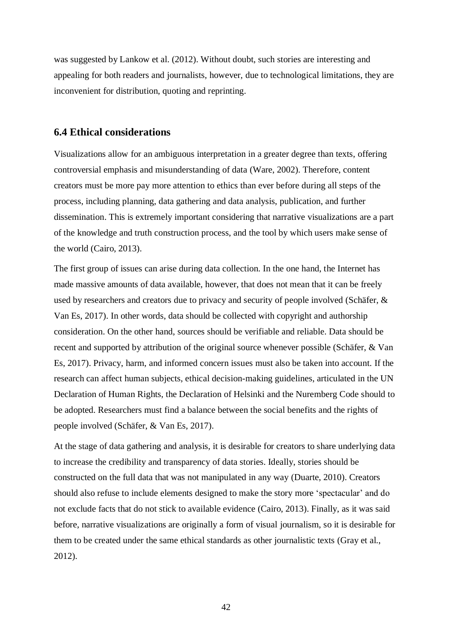was suggested by Lankow et al. (2012). Without doubt, such stories are interesting and appealing for both readers and journalists, however, due to technological limitations, they are inconvenient for distribution, quoting and reprinting.

#### **6.4 Ethical considerations**

Visualizations allow for an ambiguous interpretation in a greater degree than texts, offering controversial emphasis and misunderstanding of data (Ware, 2002). Therefore, content creators must be more pay more attention to ethics than ever before during all steps of the process, including planning, data gathering and data analysis, publication, and further dissemination. This is extremely important considering that narrative visualizations are a part of the knowledge and truth construction process, and the tool by which users make sense of the world (Cairo, 2013).

The first group of issues can arise during data collection. In the one hand, the Internet has made massive amounts of data available, however, that does not mean that it can be freely used by researchers and creators due to privacy and security of people involved (Schäfer, & Van Es, 2017). In other words, data should be collected with copyright and authorship consideration. On the other hand, sources should be verifiable and reliable. Data should be recent and supported by attribution of the original source whenever possible (Schäfer, & Van Es, 2017). Privacy, harm, and informed concern issues must also be taken into account. If the research can affect human subjects, ethical decision-making guidelines, articulated in the UN Declaration of Human Rights, the Declaration of Helsinki and the Nuremberg Code should to be adopted. Researchers must find a balance between the social benefits and the rights of people involved (Schäfer, & Van Es, 2017).

At the stage of data gathering and analysis, it is desirable for creators to share underlying data to increase the credibility and transparency of data stories. Ideally, stories should be constructed on the full data that was not manipulated in any way (Duarte, 2010). Creators should also refuse to include elements designed to make the story more 'spectacular' and do not exclude facts that do not stick to available evidence (Cairo, 2013). Finally, as it was said before, narrative visualizations are originally a form of visual journalism, so it is desirable for them to be created under the same ethical standards as other journalistic texts (Gray et al., 2012).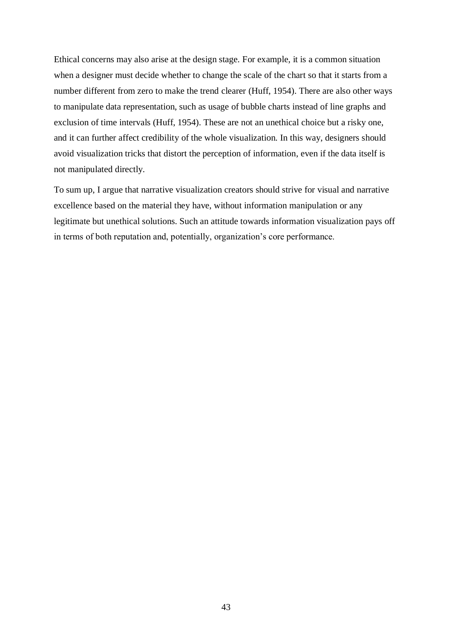Ethical concerns may also arise at the design stage. For example, it is a common situation when a designer must decide whether to change the scale of the chart so that it starts from a number different from zero to make the trend clearer (Huff, 1954). There are also other ways to manipulate data representation, such as usage of bubble charts instead of line graphs and exclusion of time intervals (Huff, 1954). These are not an unethical choice but a risky one, and it can further affect credibility of the whole visualization. In this way, designers should avoid visualization tricks that distort the perception of information, even if the data itself is not manipulated directly.

To sum up, I argue that narrative visualization creators should strive for visual and narrative excellence based on the material they have, without information manipulation or any legitimate but unethical solutions. Such an attitude towards information visualization pays off in terms of both reputation and, potentially, organization's core performance.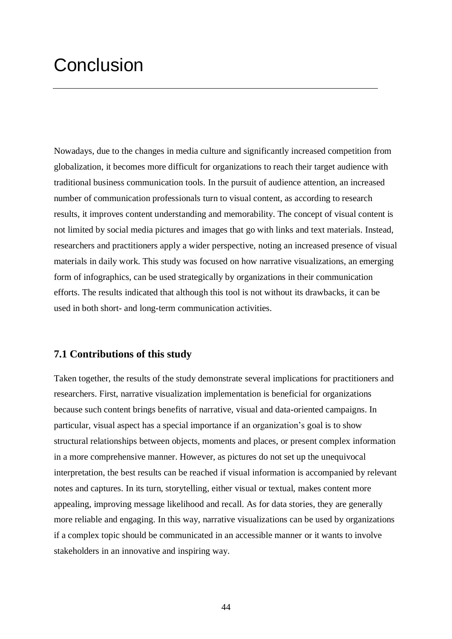# **Conclusion**

Nowadays, due to the changes in media culture and significantly increased competition from globalization, it becomes more difficult for organizations to reach their target audience with traditional business communication tools. In the pursuit of audience attention, an increased number of communication professionals turn to visual content, as according to research results, it improves content understanding and memorability. The concept of visual content is not limited by social media pictures and images that go with links and text materials. Instead, researchers and practitioners apply a wider perspective, noting an increased presence of visual materials in daily work. This study was focused on how narrative visualizations, an emerging form of infographics, can be used strategically by organizations in their communication efforts. The results indicated that although this tool is not without its drawbacks, it can be used in both short- and long-term communication activities.

### **7.1 Contributions of this study**

Taken together, the results of the study demonstrate several implications for practitioners and researchers. First, narrative visualization implementation is beneficial for organizations because such content brings benefits of narrative, visual and data-oriented campaigns. In particular, visual aspect has a special importance if an organization's goal is to show structural relationships between objects, moments and places, or present complex information in a more comprehensive manner. However, as pictures do not set up the unequivocal interpretation, the best results can be reached if visual information is accompanied by relevant notes and captures. In its turn, storytelling, either visual or textual, makes content more appealing, improving message likelihood and recall. As for data stories, they are generally more reliable and engaging. In this way, narrative visualizations can be used by organizations if a complex topic should be communicated in an accessible manner or it wants to involve stakeholders in an innovative and inspiring way.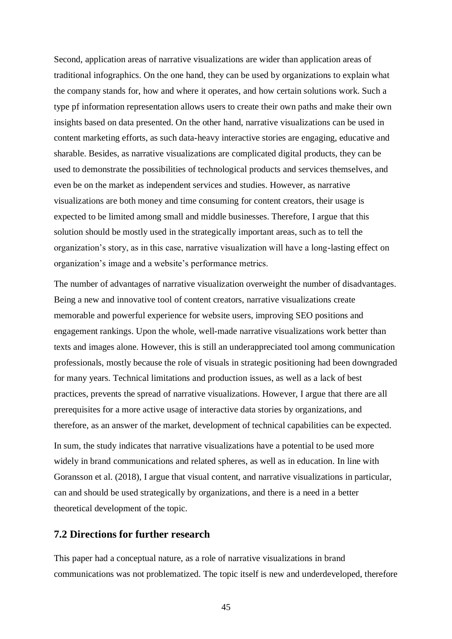Second, application areas of narrative visualizations are wider than application areas of traditional infographics. On the one hand, they can be used by organizations to explain what the company stands for, how and where it operates, and how certain solutions work. Such a type pf information representation allows users to create their own paths and make their own insights based on data presented. On the other hand, narrative visualizations can be used in content marketing efforts, as such data-heavy interactive stories are engaging, educative and sharable. Besides, as narrative visualizations are complicated digital products, they can be used to demonstrate the possibilities of technological products and services themselves, and even be on the market as independent services and studies. However, as narrative visualizations are both money and time consuming for content creators, their usage is expected to be limited among small and middle businesses. Therefore, I argue that this solution should be mostly used in the strategically important areas, such as to tell the organization's story, as in this case, narrative visualization will have a long-lasting effect on organization's image and a website's performance metrics.

The number of advantages of narrative visualization overweight the number of disadvantages. Being a new and innovative tool of content creators, narrative visualizations create memorable and powerful experience for website users, improving SEO positions and engagement rankings. Upon the whole, well-made narrative visualizations work better than texts and images alone. However, this is still an underappreciated tool among communication professionals, mostly because the role of visuals in strategic positioning had been downgraded for many years. Technical limitations and production issues, as well as a lack of best practices, prevents the spread of narrative visualizations. However, I argue that there are all prerequisites for a more active usage of interactive data stories by organizations, and therefore, as an answer of the market, development of technical capabilities can be expected.

In sum, the study indicates that narrative visualizations have a potential to be used more widely in brand communications and related spheres, as well as in education. In line with Goransson et al. (2018), I argue that visual content, and narrative visualizations in particular, can and should be used strategically by organizations, and there is a need in a better theoretical development of the topic.

### **7.2 Directions for further research**

This paper had a conceptual nature, as a role of narrative visualizations in brand communications was not problematized. The topic itself is new and underdeveloped, therefore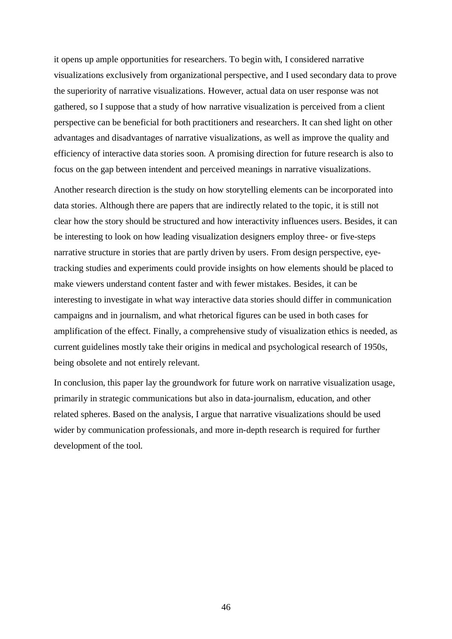it opens up ample opportunities for researchers. To begin with, I considered narrative visualizations exclusively from organizational perspective, and I used secondary data to prove the superiority of narrative visualizations. However, actual data on user response was not gathered, so I suppose that a study of how narrative visualization is perceived from a client perspective can be beneficial for both practitioners and researchers. It can shed light on other advantages and disadvantages of narrative visualizations, as well as improve the quality and efficiency of interactive data stories soon. A promising direction for future research is also to focus on the gap between intendent and perceived meanings in narrative visualizations.

Another research direction is the study on how storytelling elements can be incorporated into data stories. Although there are papers that are indirectly related to the topic, it is still not clear how the story should be structured and how interactivity influences users. Besides, it can be interesting to look on how leading visualization designers employ three- or five-steps narrative structure in stories that are partly driven by users. From design perspective, eyetracking studies and experiments could provide insights on how elements should be placed to make viewers understand content faster and with fewer mistakes. Besides, it can be interesting to investigate in what way interactive data stories should differ in communication campaigns and in journalism, and what rhetorical figures can be used in both cases for amplification of the effect. Finally, a comprehensive study of visualization ethics is needed, as current guidelines mostly take their origins in medical and psychological research of 1950s, being obsolete and not entirely relevant.

In conclusion, this paper lay the groundwork for future work on narrative visualization usage, primarily in strategic communications but also in data-journalism, education, and other related spheres. Based on the analysis, I argue that narrative visualizations should be used wider by communication professionals, and more in-depth research is required for further development of the tool.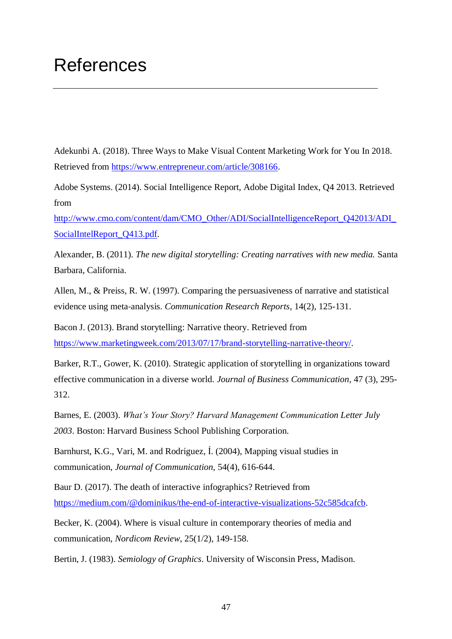# References

Adekunbi A. (2018). Three Ways to Make Visual Content Marketing Work for You In 2018. Retrieved from [https://www.entrepreneur.com/article/308166.](https://www.entrepreneur.com/article/308166)

Adobe Systems. (2014). Social Intelligence Report, Adobe Digital Index, Q4 2013. Retrieved from

[http://www.cmo.com/content/dam/CMO\\_Other/ADI/SocialIntelligenceReport\\_Q42013/ADI\\_](http://www.cmo.com/content/dam/CMO_Other/ADI/SocialIntelligenceReport_Q42013/ADI_SocialIntelReport_Q413.pdf) [SocialIntelReport\\_Q413.pdf.](http://www.cmo.com/content/dam/CMO_Other/ADI/SocialIntelligenceReport_Q42013/ADI_SocialIntelReport_Q413.pdf)

Alexander, B. (2011). *The new digital storytelling: Creating narratives with new media.* Santa Barbara, California.

Allen, M., & Preiss, R. W. (1997). Comparing the persuasiveness of narrative and statistical evidence using meta‐analysis. *Communication Research Reports*, 14(2), 125-131.

Bacon J. (2013). Brand storytelling: Narrative theory. Retrieved from [https://www.marketingweek.com/2013/07/17/brand-storytelling-narrative-theory/.](https://www.marketingweek.com/2013/07/17/brand-storytelling-narrative-theory/)

Barker, R.T., Gower, K. (2010). Strategic application of storytelling in organizations toward effective communication in a diverse world. *Journal of Business Communication*, 47 (3), 295- 312.

Barnes, E. (2003). *What's Your Story? Harvard Management Communication Letter July 2003*. Boston: Harvard Business School Publishing Corporation.

Barnhurst, K.G., Vari, M. and Rodríguez, Í. (2004), Mapping visual studies in communication, *Journal of Communication,* 54(4), 616-644.

Baur D. (2017). The death of interactive infographics? Retrieved from [https://medium.com/@dominikus/the-end-of-interactive-visualizations-52c585dcafcb.](https://medium.com/@dominikus/the-end-of-interactive-visualizations-52c585dcafcb)

Becker, K. (2004). Where is visual culture in contemporary theories of media and communication, *Nordicom Review*, 25(1/2), 149-158.

Bertin, J. (1983). *Semiology of Graphics*. University of Wisconsin Press, Madison.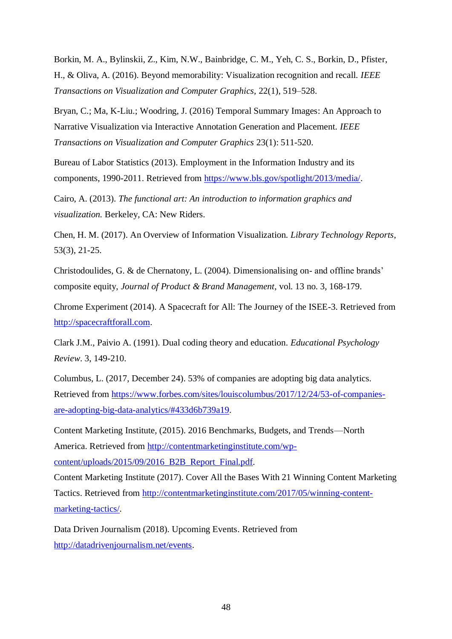Borkin, M. A., Bylinskii, Z., Kim, N.W., Bainbridge, C. M., Yeh, C. S., Borkin, D., Pfister, H., & Oliva, A. (2016). Beyond memorability: Visualization recognition and recall. *IEEE Transactions on Visualization and Computer Graphics,* 22(1), 519–528.

Bryan, C.; Ma, K-Liu.; Woodring, J. (2016) Temporal Summary Images: An Approach to Narrative Visualization via Interactive Annotation Generation and Placement. *IEEE Transactions on Visualization and Computer Graphics* 23(1): 511-520.

Bureau of Labor Statistics (2013). Employment in the Information Industry and its components, 1990-2011. Retrieved from [https://www.bls.gov/spotlight/2013/media/.](https://www.bls.gov/spotlight/2013/media/)

Cairo, A. (2013). *The functional art: An introduction to information graphics and visualization.* Berkeley, CA: New Riders.

Chen, H. M. (2017). An Overview of Information Visualization. *Library Technology Reports*, 53(3), 21-25.

Christodoulides, G. & de Chernatony, L. (2004). Dimensionalising on- and offline brands' composite equity, *Journal of Product & Brand Management*, vol. 13 no. 3, 168-179.

Chrome Experiment (2014). A Spacecraft for All: The Journey of the ISEE-3. Retrieved from [http://spacecraftforall.com.](http://spacecraftforall.com/)

Clark J.M., Paivio A. (1991). Dual coding theory and education. *Educational Psychology Review*. 3, 149-210.

Columbus, L. (2017, December 24). 53% of companies are adopting big data analytics. Retrieved from [https://www.forbes.com/sites/louiscolumbus/2017/12/24/53-of-companies](https://www.forbes.com/sites/louiscolumbus/2017/12/24/53-of-companies-are-adopting-big-data-analytics/#433d6b739a19)[are-adopting-big-data-analytics/#433d6b739a19.](https://www.forbes.com/sites/louiscolumbus/2017/12/24/53-of-companies-are-adopting-big-data-analytics/#433d6b739a19)

Content Marketing Institute, (2015). 2016 Benchmarks, Budgets, and Trends—North America. Retrieved from [http://contentmarketinginstitute.com/wp](http://contentmarketinginstitute.com/wp-content/uploads/2015/09/2016_B2B_Report_Final.pdf)[content/uploads/2015/09/2016\\_B2B\\_Report\\_Final.pdf.](http://contentmarketinginstitute.com/wp-content/uploads/2015/09/2016_B2B_Report_Final.pdf)

Content Marketing Institute (2017). Cover All the Bases With 21 Winning Content Marketing Tactics. Retrieved from [http://contentmarketinginstitute.com/2017/05/winning-content](http://contentmarketinginstitute.com/2017/05/winning-content-marketing-tactics/)[marketing-tactics/.](http://contentmarketinginstitute.com/2017/05/winning-content-marketing-tactics/)

Data Driven Journalism (2018). Upcoming Events. Retrieved from [http://datadrivenjournalism.net/events.](http://datadrivenjournalism.net/events)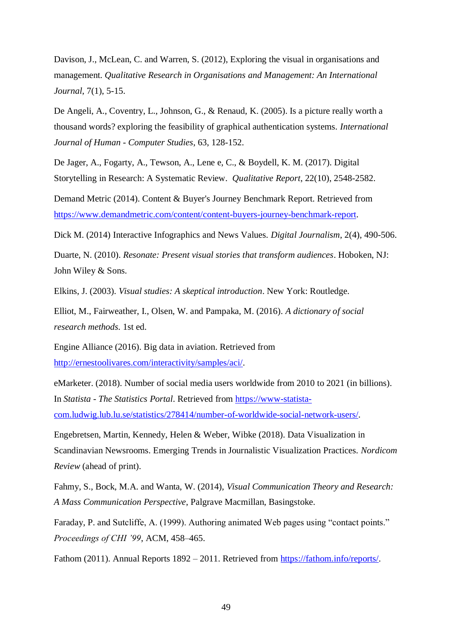Davison, J., McLean, C. and Warren, S. (2012), Exploring the visual in organisations and management. *Qualitative Research in Organisations and Management: An International Journal*, 7(1), 5-15.

De Angeli, A., Coventry, L., Johnson, G., & Renaud, K. (2005). Is a picture really worth a thousand words? exploring the feasibility of graphical authentication systems. *International Journal of Human - Computer Studies*, 63, 128-152.

De Jager, A., Fogarty, A., Tewson, A., Lene e, C., & Boydell, K. M. (2017). Digital Storytelling in Research: A Systematic Review. *Qualitative Report*, 22(10), 2548-2582.

Demand Metric (2014). Content & Buyer's Journey Benchmark Report. Retrieved from [https://www.demandmetric.com/content/content-buyers-journey-benchmark-report.](https://www.demandmetric.com/content/content-buyers-journey-benchmark-report)

Dick M. (2014) Interactive Infographics and News Values. *Digital Journalism*, 2(4), 490-506.

Duarte, N. (2010). *Resonate: Present visual stories that transform audiences*. Hoboken, NJ: John Wiley & Sons.

Elkins, J. (2003). *Visual studies: A skeptical introduction*. New York: Routledge.

Elliot, M., Fairweather, I., Olsen, W. and Pampaka, M. (2016). *A dictionary of social research methods.* 1st ed.

Engine Alliance (2016). Big data in aviation. Retrieved from [http://ernestoolivares.com/interactivity/samples/aci/.](http://ernestoolivares.com/interactivity/samples/aci/)

eMarketer. (2018). Number of social media users worldwide from 2010 to 2021 (in billions). In *Statista - The Statistics Portal*. Retrieved from [https://www-statista](https://www-statista-com.ludwig.lub.lu.se/statistics/278414/number-of-worldwide-social-network-users/)[com.ludwig.lub.lu.se/statistics/278414/number-of-worldwide-social-network-users/.](https://www-statista-com.ludwig.lub.lu.se/statistics/278414/number-of-worldwide-social-network-users/)

Engebretsen, Martin, Kennedy, Helen & Weber, Wibke (2018). Data Visualization in Scandinavian Newsrooms. Emerging Trends in Journalistic Visualization Practices. *Nordicom Review* (ahead of print).

Fahmy, S., Bock, M.A. and Wanta, W. (2014), *Visual Communication Theory and Research: A Mass Communication Perspective*, Palgrave Macmillan, Basingstoke.

Faraday, P. and Sutcliffe, A. (1999). Authoring animated Web pages using "contact points." *Proceedings of CHI '99*, ACM, 458–465.

Fathom (2011). Annual Reports 1892 – 2011. Retrieved from [https://fathom.info/reports/.](https://fathom.info/reports/)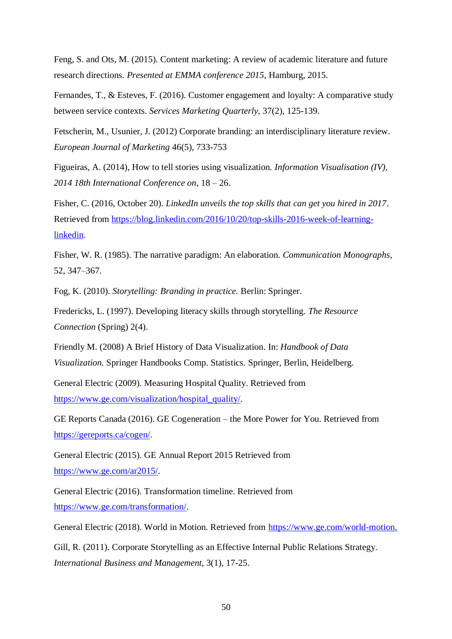Feng, S. and Ots, M. (2015). Content marketing: A review of academic literature and future research directions. *Presented at EMMA conference 2015*, Hamburg, 2015.

Fernandes, T., & Esteves, F. (2016). Customer engagement and loyalty: A comparative study between service contexts. *Services Marketing Quarterly,* 37(2), 125-139.

Fetscherin, M., Usunier, J. (2012) Corporate branding: an interdisciplinary literature review. *European Journal of Marketing* 46(5), 733-753

Figueiras, A. (2014), How to tell stories using visualization. *Information Visualisation (IV), 2014 18th International Conference on*, 18 – 26.

Fisher, C. (2016, October 20). *LinkedIn unveils the top skills that can get you hired in 2017*. Retrieved from [https://blog.linkedin.com/2016/10/20/top-skills-2016-week-of-learning](https://blog.linkedin.com/2016/10/20/top-skills-2016-week-of-learning-linkedin)[linkedin.](https://blog.linkedin.com/2016/10/20/top-skills-2016-week-of-learning-linkedin)

Fisher, W. R. (1985). The narrative paradigm: An elaboration. *Communication Monographs*, 52, 347–367.

Fog, K. (2010). *Storytelling: Branding in practice.* Berlin: Springer.

Fredericks, L. (1997). Developing literacy skills through storytelling. *The Resource Connection* (Spring) 2(4).

Friendly M. (2008) A Brief History of Data Visualization. In: *Handbook of Data Visualization.* Springer Handbooks Comp. Statistics. Springer, Berlin, Heidelberg.

General Electric (2009). Measuring Hospital Quality. Retrieved from [https://www.ge.com/visualization/hospital\\_quality/.](https://www.ge.com/visualization/hospital_quality/)

GE Reports Canada (2016). GE Cogeneration – the More Power for You. Retrieved from [https://gereports.ca/cogen/.](https://gereports.ca/cogen/)

General Electric (2015). GE Annual Report 2015 Retrieved from [https://www.ge.com/ar2015/.](https://www.ge.com/ar2015/)

General Electric (2016). Transformation timeline. Retrieved from [https://www.ge.com/transformation/.](https://www.ge.com/transformation/)

General Electric (2018). World in Motion. Retrieved from [https://www.ge.com/world-motion.](https://www.ge.com/world-motion)

Gill, R. (2011). Corporate Storytelling as an Effective Internal Public Relations Strategy. *International Business and Management*, 3(1), 17-25.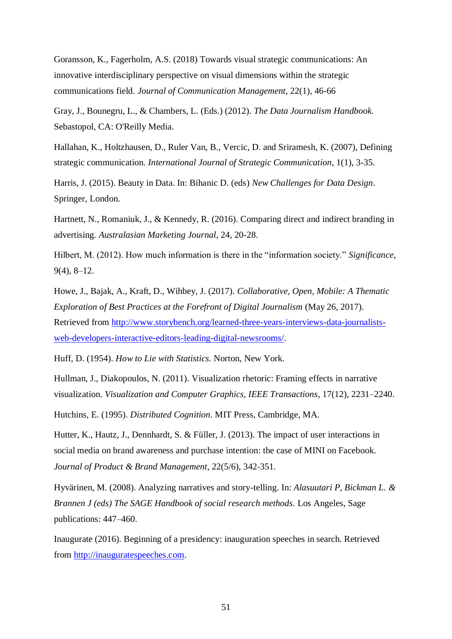Goransson, K., Fagerholm, A.S. (2018) Towards visual strategic communications: An innovative interdisciplinary perspective on visual dimensions within the strategic communications field. *Journal of Communication Management*, 22(1), 46-66

Gray, J., Bounegru, L., & Chambers, L. (Eds.) (2012). *The Data Journalism Handbook.* Sebastopol, CA: O'Reilly Media.

Hallahan, K., Holtzhausen, D., Ruler Van, B., Vercic, D. and Sriramesh, K. (2007), Defining strategic communication. *International Journal of Strategic Communication*, 1(1), 3-35.

Harris, J. (2015). Beauty in Data. In: Bihanic D. (eds) *New Challenges for Data Design*. Springer, London.

Hartnett, N., Romaniuk, J., & Kennedy, R. (2016). Comparing direct and indirect branding in advertising*. Australasian Marketing Journal*, 24, 20-28.

Hilbert, M. (2012). How much information is there in the "information society." *Significance*, 9(4), 8–12.

Howe, J., Bajak, A., Kraft, D., Wihbey, J. (2017). *Collaborative, Open, Mobile: A Thematic Exploration of Best Practices at the Forefront of Digital Journalism* (May 26, 2017). Retrieved from [http://www.storybench.org/learned-three-years-interviews-data-journalists](http://www.storybench.org/learned-three-years-interviews-data-journalists-web-developers-interactive-editors-leading-digital-newsrooms/)[web-developers-interactive-editors-leading-digital-newsrooms/.](http://www.storybench.org/learned-three-years-interviews-data-journalists-web-developers-interactive-editors-leading-digital-newsrooms/)

Huff, D. (1954). *How to Lie with Statistics.* Norton, New York.

Hullman, J., Diakopoulos, N. (2011). Visualization rhetoric: Framing effects in narrative visualization. *Visualization and Computer Graphics, IEEE Transactions*, 17(12), 2231–2240.

Hutchins, E. (1995). *Distributed Cognition*. MIT Press, Cambridge, MA.

Hutter, K., Hautz, J., Dennhardt, S. & Füller, J. (2013). The impact of user interactions in social media on brand awareness and purchase intention: the case of MINI on Facebook. *Journal of Product & Brand Management*, 22(5/6), 342‐351.

Hyvärinen, M. (2008). Analyzing narratives and story-telling. In: *Alasuutari P, Bickman L. & Brannen J (eds) The SAGE Handbook of social research methods.* Los Angeles, Sage publications: 447–460.

Inaugurate (2016). Beginning of a presidency: inauguration speeches in search. Retrieved from [http://inauguratespeeches.com.](http://inauguratespeeches.com/)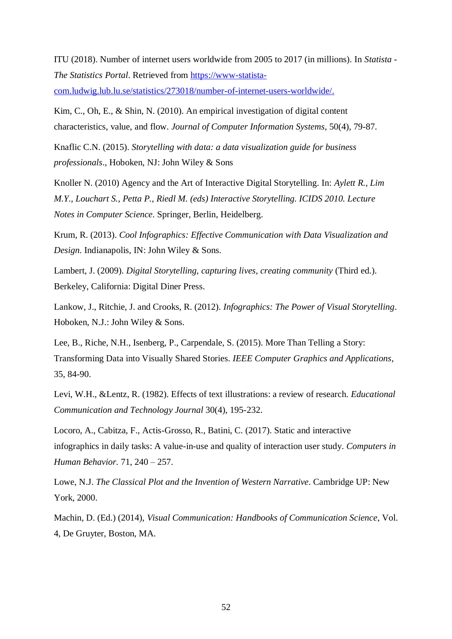ITU (2018). Number of internet users worldwide from 2005 to 2017 (in millions). In *Statista - The Statistics Portal*. Retrieved from [https://www-statista-](https://www-statista-com.ludwig.lub.lu.se/statistics/273018/number-of-internet-users-worldwide/)

[com.ludwig.lub.lu.se/statistics/273018/number-of-internet-users-worldwide/.](https://www-statista-com.ludwig.lub.lu.se/statistics/273018/number-of-internet-users-worldwide/)

Kim, C., Oh, E., & Shin, N. (2010). An empirical investigation of digital content characteristics, value, and flow. *Journal of Computer Information Systems*, 50(4), 79-87.

Knaflic C.N. (2015). *Storytelling with data: a data visualization guide for business professionals*., Hoboken, NJ: John Wiley & Sons

Knoller N. (2010) Agency and the Art of Interactive Digital Storytelling. In: *Aylett R., Lim M.Y., Louchart S., Petta P., Riedl M. (eds) Interactive Storytelling. ICIDS 2010. Lecture Notes in Computer Science*. Springer, Berlin, Heidelberg.

Krum, R. (2013). *Cool Infographics: Effective Communication with Data Visualization and Design.* Indianapolis, IN: John Wiley & Sons.

Lambert, J. (2009). *Digital Storytelling, capturing lives, creating community* (Third ed.). Berkeley, California: Digital Diner Press.

Lankow, J., Ritchie, J. and Crooks, R. (2012). *Infographics: The Power of Visual Storytelling*. Hoboken, N.J.: John Wiley & Sons.

Lee, B., Riche, N.H., Isenberg, P., Carpendale, S. (2015). More Than Telling a Story: Transforming Data into Visually Shared Stories. *IEEE Computer Graphics and Applications*, 35, 84-90.

Levi, W.H., &Lentz, R. (1982). Effects of text illustrations: a review of research. *Educational Communication and Technology Journal* 30(4), 195-232.

Locoro, A., Cabitza, F., Actis-Grosso, R., Batini, C. (2017). Static and interactive infographics in daily tasks: A value-in-use and quality of interaction user study. *Computers in Human Behavior.* 71, 240 – 257.

Lowe, N.J. *The Classical Plot and the Invention of Western Narrative*. Cambridge UP: New York, 2000.

Machin, D. (Ed.) (2014), *Visual Communication: Handbooks of Communication Science*, Vol. 4, De Gruyter, Boston, MA.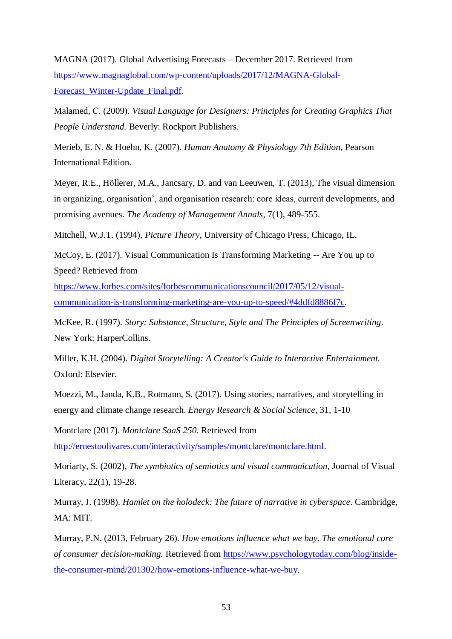MAGNA (2017). Global Advertising Forecasts – December 2017. Retrieved from [https://www.magnaglobal.com/wp-content/uploads/2017/12/MAGNA-Global-](https://www.magnaglobal.com/wp-content/uploads/2017/12/MAGNA-Global-Forecast_Winter-Update_Final.pdf)[Forecast\\_Winter-Update\\_Final.pdf.](https://www.magnaglobal.com/wp-content/uploads/2017/12/MAGNA-Global-Forecast_Winter-Update_Final.pdf)

Malamed, С. (2009). *Visual Language for Designers: Principles for Creating Graphics That People Understand.* Beverly: Rockport Publishers.

Merieb, E. N. & Hoehn, K. (2007). *Human Anatomy & Physiology 7th Edition*, Pearson International Edition.

Meyer, R.E., Höllerer, M.A., Jancsary, D. and van Leeuwen, T. (2013), The visual dimension in organizing, organisation', and organisation research: core ideas, current developments, and promising avenues. *The Academy of Management Annals*, 7(1), 489-555.

Mitchell, W.J.T. (1994), *Picture Theory*, University of Chicago Press, Chicago, IL.

McCoy, E. (2017). Visual Communication Is Transforming Marketing -- Are You up to Speed? Retrieved from

[https://www.forbes.com/sites/forbescommunicationscouncil/2017/05/12/visual](https://www.forbes.com/sites/forbescommunicationscouncil/2017/05/12/visual-communication-is-transforming-marketing-are-you-up-to-speed/#4ddfd8886f7c)[communication-is-transforming-marketing-are-you-up-to-speed/#4ddfd8886f7c.](https://www.forbes.com/sites/forbescommunicationscouncil/2017/05/12/visual-communication-is-transforming-marketing-are-you-up-to-speed/#4ddfd8886f7c)

McKee, R. (1997). *Story: Substance, Structure, Style and The Principles of Screenwriting*. New York: HarperCollins.

Miller, K.H. (2004). *Digital Storytelling: A Creator's Guide to Interactive Entertainment.* Oxford: Elsevier.

Moezzi, M., Janda, K.B., Rotmann, S. (2017). Using stories, narratives, and storytelling in energy and climate change research. *Energy Research & Social Science*, 31, 1-10

Montclare (2017). *Montclare SaaS 250.* Retrieved from

[http://ernestoolivares.com/interactivity/samples/montclare/montclare.html.](http://ernestoolivares.com/interactivity/samples/montclare/montclare.html)

Moriarty, S. (2002), *The symbiotics of semiotics and visual communication,* Journal of Visual Literacy, 22(1), 19-28.

Murray, J. (1998). *Hamlet on the holodeck: The future of narrative in cyberspace*. Cambridge, MA: MIT.

Murray, P.N. (2013, February 26). *How emotions influence what we buy. The emotional core of consumer decision-making.* Retrieved from [https://www.psychologytoday.com/blog/inside](https://www.psychologytoday.com/blog/inside-the-consumer-mind/201302/how-emotions-influence-what-we-buy)[the-consumer-mind/201302/how-emotions-influence-what-we-buy.](https://www.psychologytoday.com/blog/inside-the-consumer-mind/201302/how-emotions-influence-what-we-buy)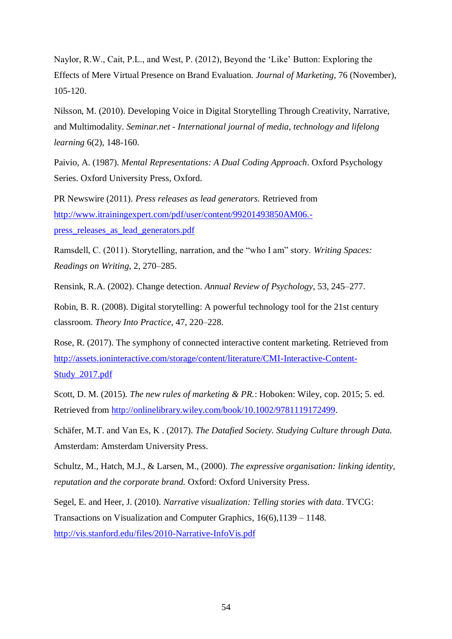Naylor, R.W., Cait, P.L., and West, P. (2012), Beyond the 'Like' Button: Exploring the Effects of Mere Virtual Presence on Brand Evaluation. *Journal of Marketing*, 76 (November), 105-120.

Nilsson, M. (2010). Developing Voice in Digital Storytelling Through Creativity, Narrative, and Multimodality. *Seminar.net - International journal of media, technology and lifelong learning* 6(2), 148-160.

Paivio, A. (1987). *Mental Representations: A Dual Coding Approach*. Oxford Psychology Series. Oxford University Press, Oxford.

PR Newswire (2011). *Press releases as lead generators.* Retrieved from [http://www.itrainingexpert.com/pdf/user/content/99201493850AM06.](http://www.itrainingexpert.com/pdf/user/content/99201493850AM06.-press_releases_as_lead_generators.pdf) [press\\_releases\\_as\\_lead\\_generators.pdf](http://www.itrainingexpert.com/pdf/user/content/99201493850AM06.-press_releases_as_lead_generators.pdf)

Ramsdell, C. (2011). Storytelling, narration, and the "who I am" story. *Writing Spaces: Readings on Writing,* 2, 270–285.

Rensink, R.A. (2002). Change detection. *Annual Review of Psychology*, 53, 245–277.

Robin, B. R. (2008). Digital storytelling: A powerful technology tool for the 21st century classroom. *Theory Into Practice*, 47, 220–228.

Rose, R. (2017). The symphony of connected interactive content marketing. Retrieved from [http://assets.ioninteractive.com/storage/content/literature/CMI-Interactive-Content-](http://assets.ioninteractive.com/storage/content/literature/CMI-Interactive-Content-Study_2017.pdf)[Study\\_2017.pdf](http://assets.ioninteractive.com/storage/content/literature/CMI-Interactive-Content-Study_2017.pdf)

Scott, D. M. (2015). *The new rules of marketing & PR.*: Hoboken: Wiley, cop. 2015; 5. ed. Retrieved from [http://onlinelibrary.wiley.com/book/10.1002/9781119172499.](http://ludwig.lub.lu.se/login?url=http://onlinelibrary.wiley.com/book/10.1002/9781119172499)

Schäfer, M.T. and Van Es, K . (2017). *The Datafied Society. Studying Culture through Data.* Amsterdam: Amsterdam University Press.

Schultz, M., Hatch, M.J., & Larsen, M., (2000). *The expressive organisation: linking identity, reputation and the corporate brand.* Oxford: Oxford University Press.

Segel, E. and Heer, J. (2010). *Narrative visualization: Telling stories with data*. TVCG: Transactions on Visualization and Computer Graphics, 16(6),1139 – 1148. <http://vis.stanford.edu/files/2010-Narrative-InfoVis.pdf>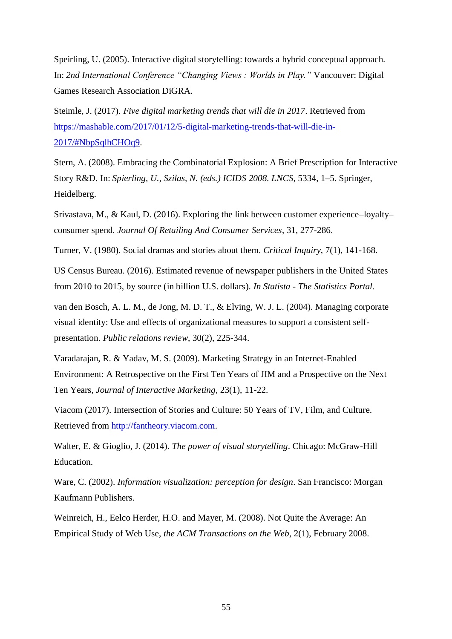Speirling, U. (2005). Interactive digital storytelling: towards a hybrid conceptual approach. In: *2nd International Conference "Changing Views : Worlds in Play."* Vancouver: Digital Games Research Association DiGRA.

Steimle, J. (2017). *Five digital marketing trends that will die in 2017*. Retrieved from [https://mashable.com/2017/01/12/5-digital-marketing-trends-that-will-die-in-](https://mashable.com/2017/01/12/5-digital-marketing-trends-that-will-die-in-2017/#NbpSqlhCHOq9)[2017/#NbpSqlhCHOq9.](https://mashable.com/2017/01/12/5-digital-marketing-trends-that-will-die-in-2017/#NbpSqlhCHOq9)

Stern, A. (2008). Embracing the Combinatorial Explosion: A Brief Prescription for Interactive Story R&D. In: *Spierling, U., Szilas, N. (eds.) ICIDS 2008. LNCS*, 5334, 1–5. Springer, Heidelberg.

Srivastava, M., & Kaul, D. (2016). Exploring the link between customer experience–loyalty– consumer spend. *Journal Of Retailing And Consumer Services*, 31, 277-286.

Turner, V. (1980). Social dramas and stories about them. *Critical Inquiry*, 7(1), 141-168.

US Census Bureau. (2016). Estimated revenue of newspaper publishers in the United States from 2010 to 2015, by source (in billion U.S. dollars). *In Statista - The Statistics Portal.*

van den Bosch, A. L. M., de Jong, M. D. T., & Elving, W. J. L. (2004). Managing corporate visual identity: Use and effects of organizational measures to support a consistent selfpresentation. *Public relations review*, 30(2), 225-344.

Varadarajan, R. & Yadav, M. S. (2009). Marketing Strategy in an Internet-Enabled Environment: A Retrospective on the First Ten Years of JIM and a Prospective on the Next Ten Years, *Journal of Interactive Marketing*, 23(1), 11-22.

Viacom (2017). Intersection of Stories and Culture: 50 Years of TV, Film, and Culture. Retrieved from [http://fantheory.viacom.com.](http://fantheory.viacom.com/)

Walter, E. & Gioglio, J. (2014). *The power of visual storytelling*. Chicago: McGraw-Hill Education.

Ware, C. (2002). *Information visualization: perception for design*. San Francisco: Morgan Kaufmann Publishers.

Weinreich, H., Eelco Herder, H.O. and Mayer, M. (2008). Not Quite the Average: An Empirical Study of Web Use, *the ACM Transactions on the Web*, 2(1), February 2008.